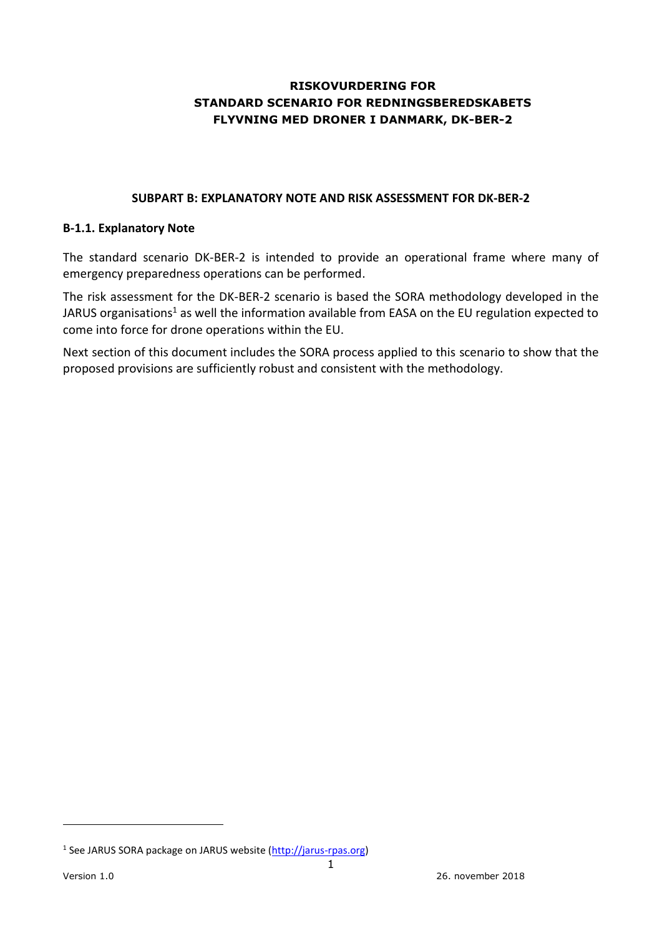# **RISKOVURDERING FOR STANDARD SCENARIO FOR REDNINGSBEREDSKABETS FLYVNING MED DRONER I DANMARK, DK-BER-2**

#### **SUBPART B: EXPLANATORY NOTE AND RISK ASSESSMENT FOR DK-BER-2**

#### **B-1.1. Explanatory Note**

The standard scenario DK-BER-2 is intended to provide an operational frame where many of emergency preparedness operations can be performed.

The risk assessment for the DK-BER-2 scenario is based the SORA methodology developed in the JARUS organisations<sup>1</sup> as well the information available from EASA on the EU regulation expected to come into force for drone operations within the EU.

Next section of this document includes the SORA process applied to this scenario to show that the proposed provisions are sufficiently robust and consistent with the methodology.

-

<sup>&</sup>lt;sup>1</sup> See JARUS SORA package on JARUS website (http://jarus-rpas.org)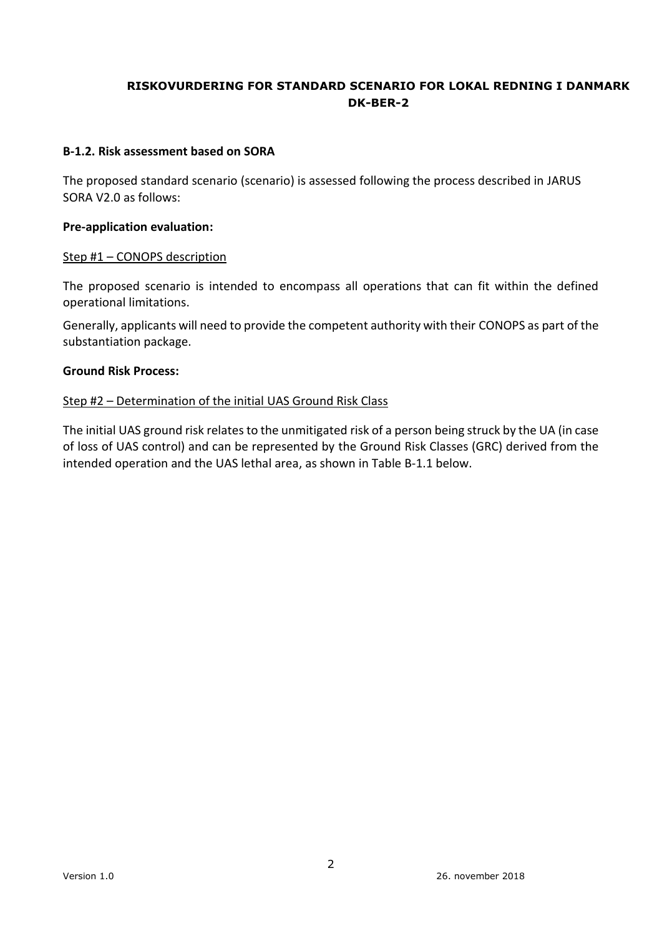#### **B-1.2. Risk assessment based on SORA**

The proposed standard scenario (scenario) is assessed following the process described in JARUS SORA V2.0 as follows:

#### **Pre-application evaluation:**

#### Step #1 – CONOPS description

The proposed scenario is intended to encompass all operations that can fit within the defined operational limitations.

Generally, applicants will need to provide the competent authority with their CONOPS as part of the substantiation package.

#### **Ground Risk Process:**

#### Step #2 – Determination of the initial UAS Ground Risk Class

The initial UAS ground risk relates to the unmitigated risk of a person being struck by the UA (in case of loss of UAS control) and can be represented by the Ground Risk Classes (GRC) derived from the intended operation and the UAS lethal area, as shown in Table B-1.1 below.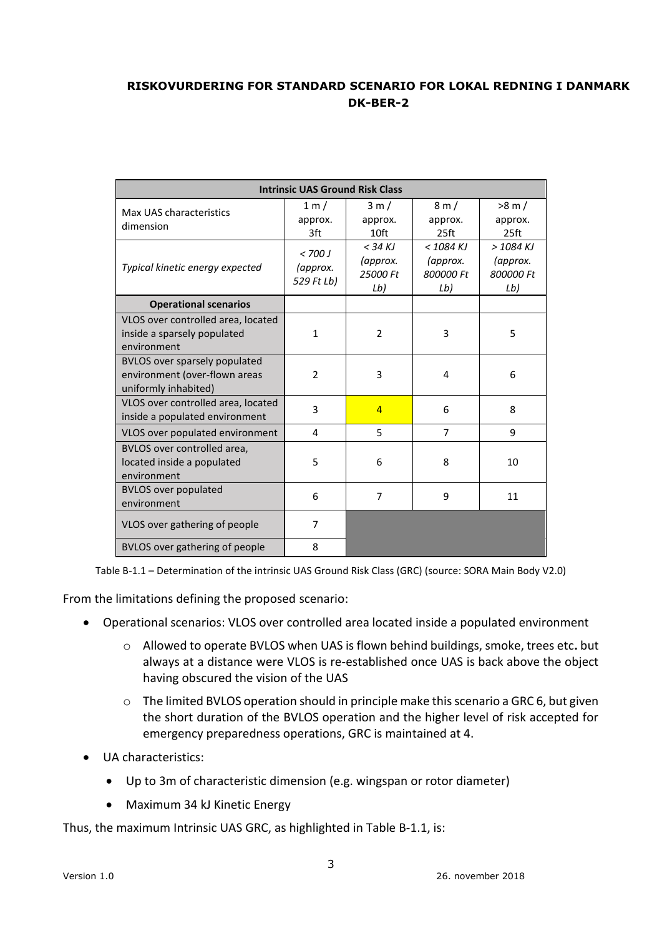|                                                                                               | <b>Intrinsic UAS Ground Risk Class</b> |                                          |                                             |                                             |  |  |  |
|-----------------------------------------------------------------------------------------------|----------------------------------------|------------------------------------------|---------------------------------------------|---------------------------------------------|--|--|--|
| Max UAS characteristics<br>dimension                                                          | 1 m /<br>approx.<br>3ft                | 3m/<br>approx.<br>10 <sup>ft</sup>       | 8 m/<br>approx.<br>25 <sub>ft</sub>         | $>8$ m $/$<br>approx.<br>25 <sub>ft</sub>   |  |  |  |
| Typical kinetic energy expected                                                               | < 700 J<br>(approx.<br>529 Ft Lb)      | $<$ 34 KJ<br>(approx.<br>25000 Ft<br>Lb) | $<$ 1084 KJ<br>(approx.<br>800000 Ft<br>Lb) | $>$ 1084 KJ<br>(approx.<br>800000 Ft<br>Lb) |  |  |  |
| <b>Operational scenarios</b>                                                                  |                                        |                                          |                                             |                                             |  |  |  |
| VLOS over controlled area, located<br>inside a sparsely populated<br>environment              | $\mathbf{1}$                           | $\overline{2}$                           | 3                                           | 5                                           |  |  |  |
| <b>BVLOS over sparsely populated</b><br>environment (over-flown areas<br>uniformly inhabited) | $\overline{2}$                         | 3                                        | 4                                           | 6                                           |  |  |  |
| VLOS over controlled area, located<br>inside a populated environment                          | 3                                      | $\overline{4}$                           | 6                                           | 8                                           |  |  |  |
| VLOS over populated environment                                                               | 4                                      | 5                                        | $\overline{7}$                              | 9                                           |  |  |  |
| BVLOS over controlled area,<br>located inside a populated<br>environment                      | 5                                      | 6                                        | 8                                           | 10                                          |  |  |  |
| <b>BVLOS over populated</b><br>environment                                                    | 6                                      | $\overline{7}$                           | 9                                           | 11                                          |  |  |  |
| VLOS over gathering of people                                                                 | $\overline{7}$                         |                                          |                                             |                                             |  |  |  |
| BVLOS over gathering of people                                                                | 8                                      |                                          |                                             |                                             |  |  |  |

Table B-1.1 – Determination of the intrinsic UAS Ground Risk Class (GRC) (source: SORA Main Body V2.0)

From the limitations defining the proposed scenario:

- Operational scenarios: VLOS over controlled area located inside a populated environment
	- o Allowed to operate BVLOS when UAS is flown behind buildings, smoke, trees etc**.** but always at a distance were VLOS is re-established once UAS is back above the object having obscured the vision of the UAS
	- o The limited BVLOS operation should in principle make this scenario a GRC 6, but given the short duration of the BVLOS operation and the higher level of risk accepted for emergency preparedness operations, GRC is maintained at 4.
- UA characteristics:
	- Up to 3m of characteristic dimension (e.g. wingspan or rotor diameter)
	- Maximum 34 kJ Kinetic Energy

Thus, the maximum Intrinsic UAS GRC, as highlighted in Table B-1.1, is: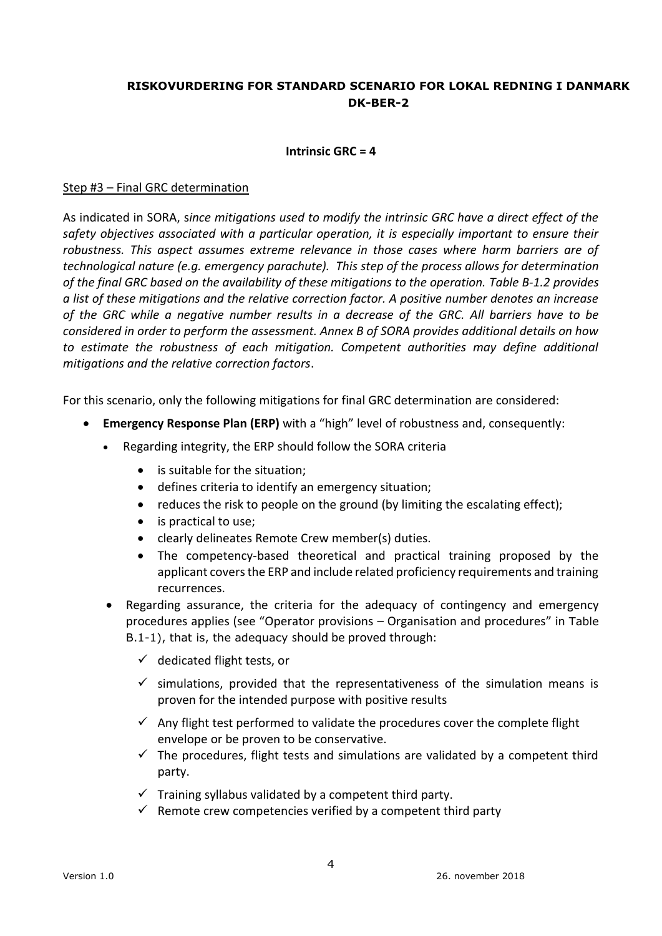#### **Intrinsic GRC = 4**

#### Step #3 – Final GRC determination

As indicated in SORA, s*ince mitigations used to modify the intrinsic GRC have a direct effect of the safety objectives associated with a particular operation, it is especially important to ensure their robustness. This aspect assumes extreme relevance in those cases where harm barriers are of technological nature (e.g. emergency parachute). This step of the process allows for determination of the final GRC based on the availability of these mitigations to the operation. Table B-1.2 provides a list of these mitigations and the relative correction factor. A positive number denotes an increase of the GRC while a negative number results in a decrease of the GRC. All barriers have to be considered in order to perform the assessment. Annex B of SORA provides additional details on how to estimate the robustness of each mitigation. Competent authorities may define additional mitigations and the relative correction factors*.

For this scenario, only the following mitigations for final GRC determination are considered:

- **Emergency Response Plan (ERP)** with a "high" level of robustness and, consequently:
	- Regarding integrity, the ERP should follow the SORA criteria
		- is suitable for the situation;
		- defines criteria to identify an emergency situation;
		- reduces the risk to people on the ground (by limiting the escalating effect);
		- is practical to use;
		- clearly delineates Remote Crew member(s) duties.
		- The competency-based theoretical and practical training proposed by the applicant covers the ERP and include related proficiency requirements and training recurrences.
	- Regarding assurance, the criteria for the adequacy of contingency and emergency procedures applies (see "Operator provisions – Organisation and procedures" in Table B.1-1), that is, the adequacy should be proved through:
		- $\checkmark$  dedicated flight tests, or
		- $\checkmark$  simulations, provided that the representativeness of the simulation means is proven for the intended purpose with positive results
		- $\checkmark$  Any flight test performed to validate the procedures cover the complete flight envelope or be proven to be conservative.
		- $\checkmark$  The procedures, flight tests and simulations are validated by a competent third party.
		- $\checkmark$  Training syllabus validated by a competent third party.
		- $\checkmark$  Remote crew competencies verified by a competent third party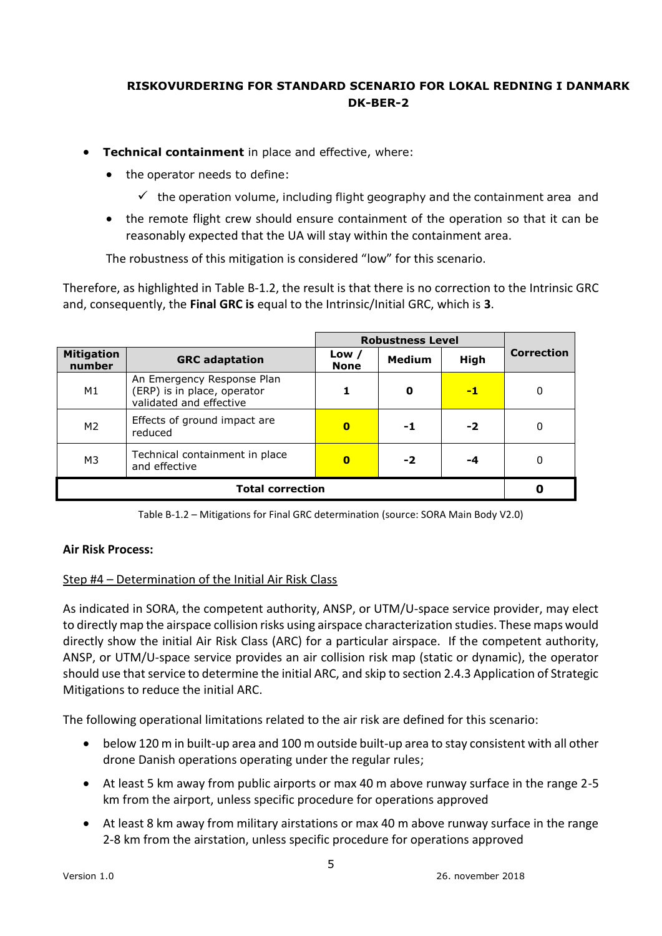- **Technical containment** in place and effective, where:
	- the operator needs to define:
		- $\checkmark$  the operation volume, including flight geography and the containment area and
	- the remote flight crew should ensure containment of the operation so that it can be reasonably expected that the UA will stay within the containment area.

The robustness of this mitigation is considered "low" for this scenario.

Therefore, as highlighted in Table B-1.2, the result is that there is no correction to the Intrinsic GRC and, consequently, the **Final GRC is** equal to the Intrinsic/Initial GRC, which is **3**.

|                             |                                                                                      |                        | <b>Robustness Level</b> |             |                   |
|-----------------------------|--------------------------------------------------------------------------------------|------------------------|-------------------------|-------------|-------------------|
| <b>Mitigation</b><br>number | <b>GRC</b> adaptation                                                                | Low $/$<br><b>None</b> | <b>Medium</b>           | <b>High</b> | <b>Correction</b> |
| M1                          | An Emergency Response Plan<br>(ERP) is in place, operator<br>validated and effective |                        | 0                       | -1          | 0                 |
| M <sub>2</sub>              | Effects of ground impact are<br>reduced                                              | $\bf{0}$               | -1                      | -2          | 0                 |
| M3                          | Technical containment in place<br>and effective                                      | $\bf{0}$               | $-2$                    | -4          | 0                 |
|                             |                                                                                      |                        |                         |             |                   |

Table B-1.2 – Mitigations for Final GRC determination (source: SORA Main Body V2.0)

### **Air Risk Process:**

### Step #4 – Determination of the Initial Air Risk Class

As indicated in SORA, the competent authority, ANSP, or UTM/U-space service provider, may elect to directly map the airspace collision risks using airspace characterization studies. These maps would directly show the initial Air Risk Class (ARC) for a particular airspace. If the competent authority, ANSP, or UTM/U-space service provides an air collision risk map (static or dynamic), the operator should use that service to determine the initial ARC, and skip to section 2.4.3 Application of Strategic Mitigations to reduce the initial ARC.

The following operational limitations related to the air risk are defined for this scenario:

- below 120 m in built-up area and 100 m outside built-up area to stay consistent with all other drone Danish operations operating under the regular rules;
- At least 5 km away from public airports or max 40 m above runway surface in the range 2-5 km from the airport, unless specific procedure for operations approved
- At least 8 km away from military airstations or max 40 m above runway surface in the range 2-8 km from the airstation, unless specific procedure for operations approved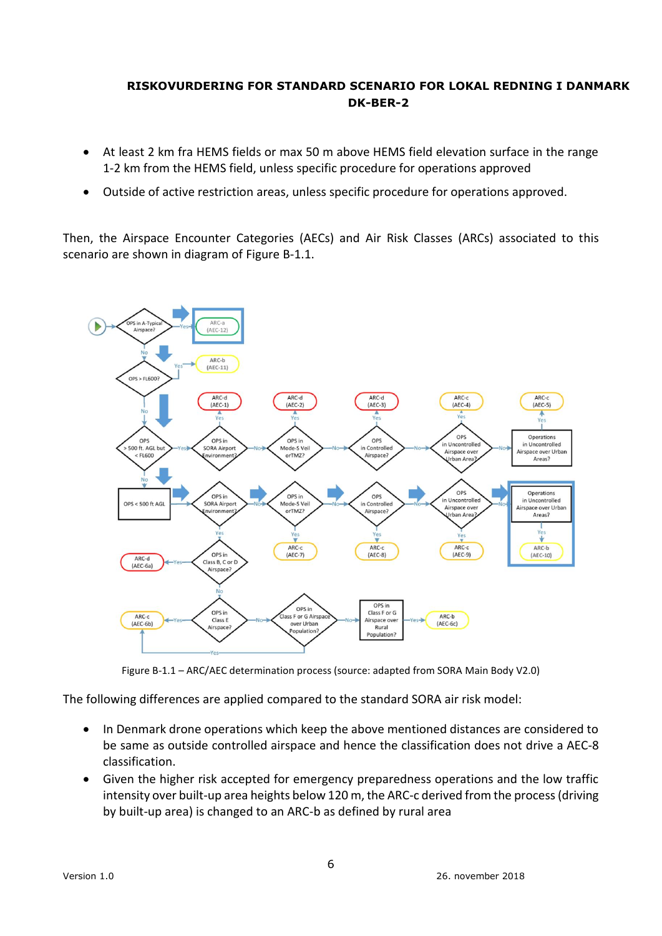- At least 2 km fra HEMS fields or max 50 m above HEMS field elevation surface in the range 1-2 km from the HEMS field, unless specific procedure for operations approved
- Outside of active restriction areas, unless specific procedure for operations approved.

Then, the Airspace Encounter Categories (AECs) and Air Risk Classes (ARCs) associated to this scenario are shown in diagram of Figure B-1.1.



Figure B-1.1 – ARC/AEC determination process (source: adapted from SORA Main Body V2.0)

The following differences are applied compared to the standard SORA air risk model:

- In Denmark drone operations which keep the above mentioned distances are considered to be same as outside controlled airspace and hence the classification does not drive a AEC-8 classification.
- Given the higher risk accepted for emergency preparedness operations and the low traffic intensity over built-up area heights below 120 m, the ARC-c derived from the process (driving by built-up area) is changed to an ARC-b as defined by rural area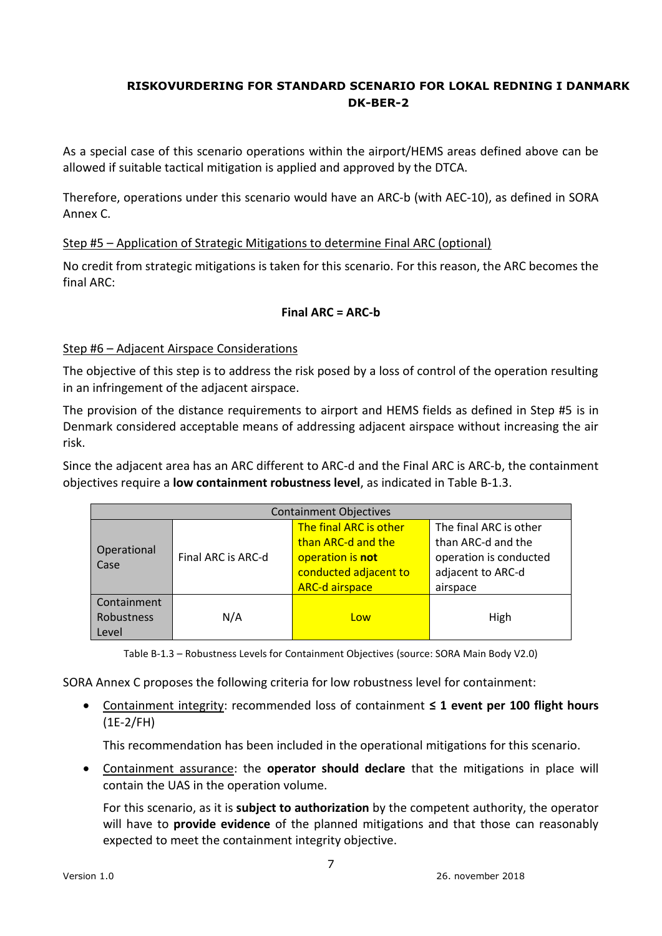As a special case of this scenario operations within the airport/HEMS areas defined above can be allowed if suitable tactical mitigation is applied and approved by the DTCA.

Therefore, operations under this scenario would have an ARC-b (with AEC-10), as defined in SORA Annex C.

### Step #5 – Application of Strategic Mitigations to determine Final ARC (optional)

No credit from strategic mitigations is taken for this scenario. For this reason, the ARC becomes the final ARC:

### **Final ARC = ARC-b**

### Step #6 – Adjacent Airspace Considerations

The objective of this step is to address the risk posed by a loss of control of the operation resulting in an infringement of the adjacent airspace.

The provision of the distance requirements to airport and HEMS fields as defined in Step #5 is in Denmark considered acceptable means of addressing adjacent airspace without increasing the air risk.

Since the adjacent area has an ARC different to ARC-d and the Final ARC is ARC-b, the containment objectives require a **low containment robustness level**, as indicated in Table B-1.3.

| <b>Containment Objectives</b>      |                    |                                                                                                                    |                                                                                                         |  |  |  |  |
|------------------------------------|--------------------|--------------------------------------------------------------------------------------------------------------------|---------------------------------------------------------------------------------------------------------|--|--|--|--|
| Operational<br>Case                | Final ARC is ARC-d | The final ARC is other<br>than ARC-d and the<br>operation is not<br>conducted adjacent to<br><b>ARC-d airspace</b> | The final ARC is other<br>than ARC-d and the<br>operation is conducted<br>adjacent to ARC-d<br>airspace |  |  |  |  |
| Containment<br>Robustness<br>Level | N/A                | Low                                                                                                                | High                                                                                                    |  |  |  |  |

Table B-1.3 – Robustness Levels for Containment Objectives (source: SORA Main Body V2.0)

SORA Annex C proposes the following criteria for low robustness level for containment:

 Containment integrity: recommended loss of containment **≤ 1 event per 100 flight hours** (1E-2/FH)

This recommendation has been included in the operational mitigations for this scenario.

 Containment assurance: the **operator should declare** that the mitigations in place will contain the UAS in the operation volume.

For this scenario, as it is **subject to authorization** by the competent authority, the operator will have to **provide evidence** of the planned mitigations and that those can reasonably expected to meet the containment integrity objective.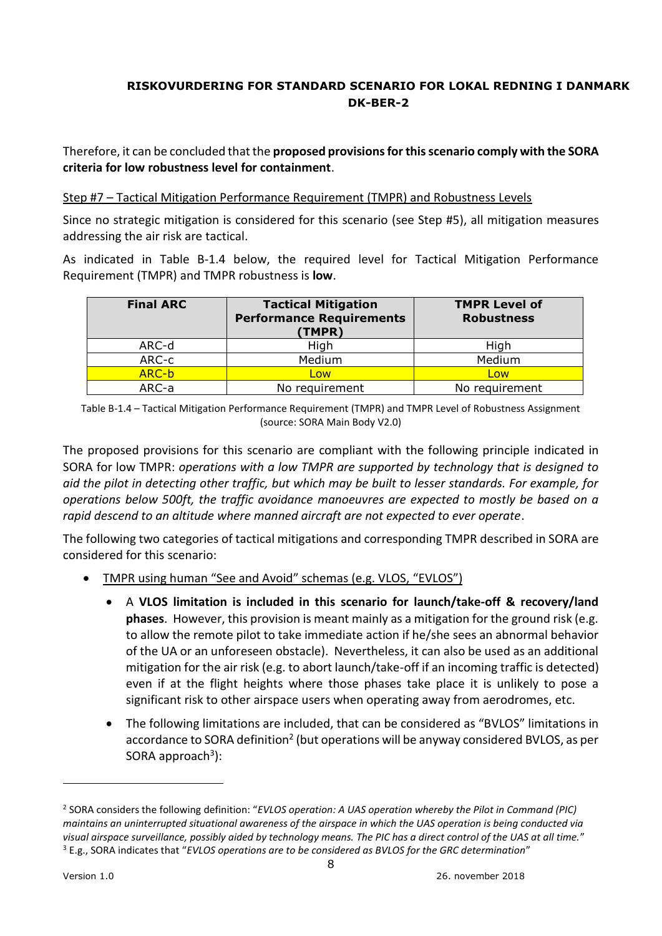Therefore, it can be concluded that the **proposed provisions for this scenario comply with the SORA criteria for low robustness level for containment**.

### Step #7 – Tactical Mitigation Performance Requirement (TMPR) and Robustness Levels

Since no strategic mitigation is considered for this scenario (see Step #5), all mitigation measures addressing the air risk are tactical.

As indicated in Table B-1.4 below, the required level for Tactical Mitigation Performance Requirement (TMPR) and TMPR robustness is **low**.

| <b>Final ARC</b> | <b>Tactical Mitigation</b><br><b>Performance Requirements</b><br>(TMPR) | <b>TMPR Level of</b><br><b>Robustness</b> |
|------------------|-------------------------------------------------------------------------|-------------------------------------------|
| ARC-d            | High                                                                    | High                                      |
| ARC-c            | Medium                                                                  | Medium                                    |
| ARC-b            | Low                                                                     | Low                                       |
| ARC-a            | No requirement                                                          | No requirement                            |

Table B-1.4 – Tactical Mitigation Performance Requirement (TMPR) and TMPR Level of Robustness Assignment (source: SORA Main Body V2.0)

The proposed provisions for this scenario are compliant with the following principle indicated in SORA for low TMPR: *operations with a low TMPR are supported by technology that is designed to aid the pilot in detecting other traffic, but which may be built to lesser standards. For example, for operations below 500ft, the traffic avoidance manoeuvres are expected to mostly be based on a rapid descend to an altitude where manned aircraft are not expected to ever operate*.

The following two categories of tactical mitigations and corresponding TMPR described in SORA are considered for this scenario:

- TMPR using human "See and Avoid" schemas (e.g. VLOS, "EVLOS")
	- A **VLOS limitation is included in this scenario for launch/take-off & recovery/land phases**. However, this provision is meant mainly as a mitigation for the ground risk (e.g. to allow the remote pilot to take immediate action if he/she sees an abnormal behavior of the UA or an unforeseen obstacle). Nevertheless, it can also be used as an additional mitigation for the air risk (e.g. to abort launch/take-off if an incoming traffic is detected) even if at the flight heights where those phases take place it is unlikely to pose a significant risk to other airspace users when operating away from aerodromes, etc.
	- The following limitations are included, that can be considered as "BVLOS" limitations in accordance to SORA definition<sup>2</sup> (but operations will be anyway considered BVLOS, as per SORA approach<sup>3</sup>):

-

<sup>2</sup> SORA considers the following definition: "*EVLOS operation: A UAS operation whereby the Pilot in Command (PIC) maintains an uninterrupted situational awareness of the airspace in which the UAS operation is being conducted via visual airspace surveillance, possibly aided by technology means. The PIC has a direct control of the UAS at all time.*" <sup>3</sup> E.g., SORA indicates that "*EVLOS operations are to be considered as BVLOS for the GRC determination*"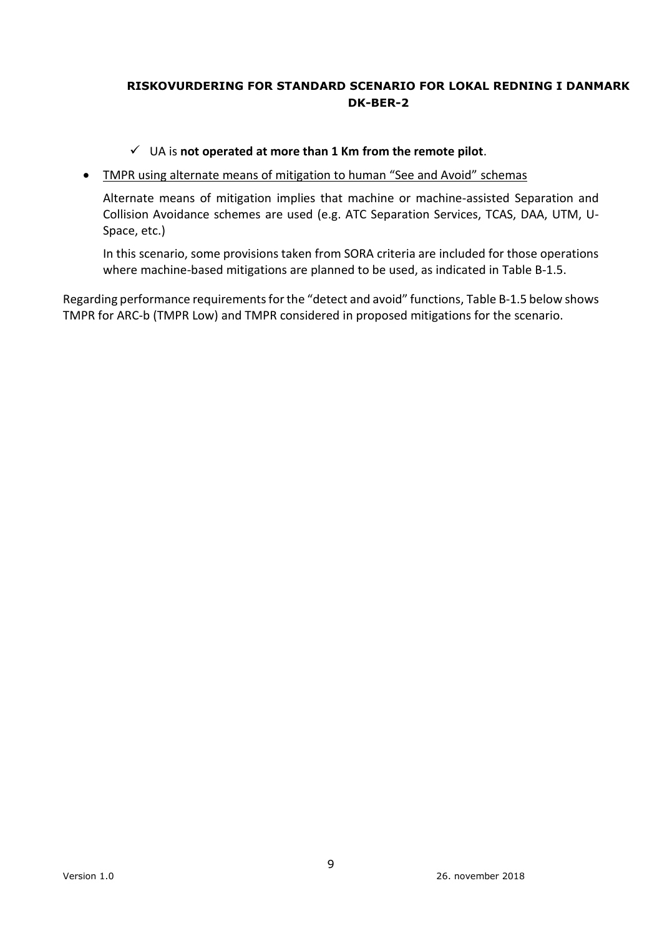### UA is **not operated at more than 1 Km from the remote pilot**.

### TMPR using alternate means of mitigation to human "See and Avoid" schemas

Alternate means of mitigation implies that machine or machine-assisted Separation and Collision Avoidance schemes are used (e.g. ATC Separation Services, TCAS, DAA, UTM, U-Space, etc.)

In this scenario, some provisions taken from SORA criteria are included for those operations where machine-based mitigations are planned to be used, as indicated in Table B-1.5.

Regarding performance requirements for the "detect and avoid" functions, Table B-1.5 below shows TMPR for ARC-b (TMPR Low) and TMPR considered in proposed mitigations for the scenario.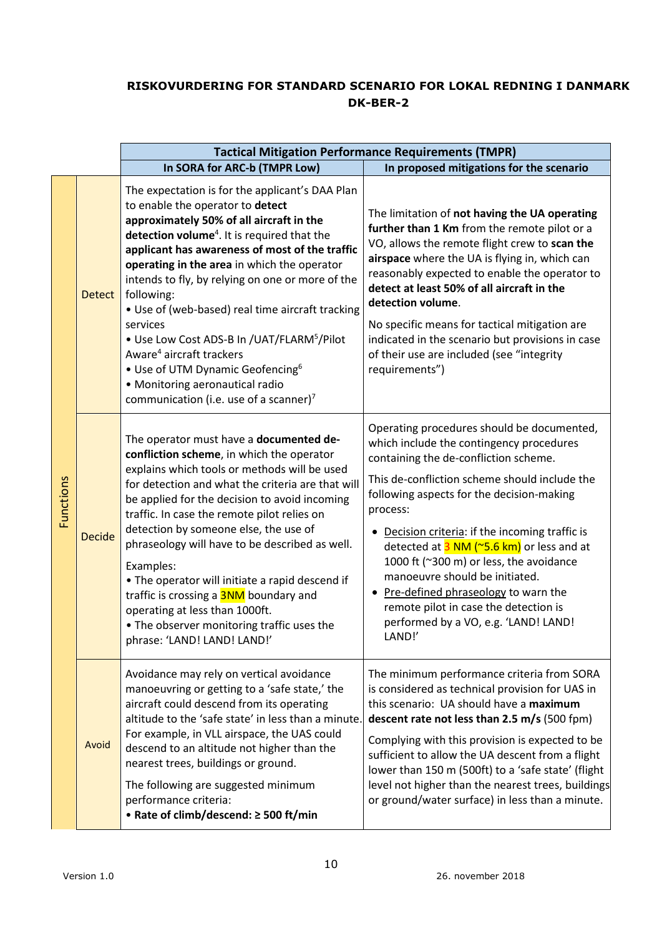|                  |               | <b>Tactical Mitigation Performance Requirements (TMPR)</b>                                                                                                                                                                                                                                                                                                                                                                                                                                                                                                                                                           |                                                                                                                                                                                                                                                                                                                                                                                                                                                                                                                                                                 |  |  |  |  |
|------------------|---------------|----------------------------------------------------------------------------------------------------------------------------------------------------------------------------------------------------------------------------------------------------------------------------------------------------------------------------------------------------------------------------------------------------------------------------------------------------------------------------------------------------------------------------------------------------------------------------------------------------------------------|-----------------------------------------------------------------------------------------------------------------------------------------------------------------------------------------------------------------------------------------------------------------------------------------------------------------------------------------------------------------------------------------------------------------------------------------------------------------------------------------------------------------------------------------------------------------|--|--|--|--|
|                  |               | In SORA for ARC-b (TMPR Low)                                                                                                                                                                                                                                                                                                                                                                                                                                                                                                                                                                                         | In proposed mitigations for the scenario                                                                                                                                                                                                                                                                                                                                                                                                                                                                                                                        |  |  |  |  |
| <b>Functions</b> | <b>Detect</b> | The expectation is for the applicant's DAA Plan<br>to enable the operator to detect<br>approximately 50% of all aircraft in the<br>detection volume <sup>4</sup> . It is required that the<br>applicant has awareness of most of the traffic<br>operating in the area in which the operator<br>intends to fly, by relying on one or more of the<br>following:<br>• Use of (web-based) real time aircraft tracking                                                                                                                                                                                                    | The limitation of not having the UA operating<br>further than 1 Km from the remote pilot or a<br>VO, allows the remote flight crew to scan the<br>airspace where the UA is flying in, which can<br>reasonably expected to enable the operator to<br>detect at least 50% of all aircraft in the<br>detection volume.                                                                                                                                                                                                                                             |  |  |  |  |
|                  |               | services<br>• Use Low Cost ADS-B In /UAT/FLARM <sup>5</sup> /Pilot<br>Aware <sup>4</sup> aircraft trackers<br>• Use of UTM Dynamic Geofencing <sup>6</sup><br>• Monitoring aeronautical radio<br>communication (i.e. use of a scanner) <sup>7</sup>                                                                                                                                                                                                                                                                                                                                                                  | No specific means for tactical mitigation are<br>indicated in the scenario but provisions in case<br>of their use are included (see "integrity<br>requirements")                                                                                                                                                                                                                                                                                                                                                                                                |  |  |  |  |
|                  | <b>Decide</b> | The operator must have a documented de-<br>confliction scheme, in which the operator<br>explains which tools or methods will be used<br>for detection and what the criteria are that will<br>be applied for the decision to avoid incoming<br>traffic. In case the remote pilot relies on<br>detection by someone else, the use of<br>phraseology will have to be described as well.<br>Examples:<br>. The operator will initiate a rapid descend if<br>traffic is crossing a <b>3NM</b> boundary and<br>operating at less than 1000ft.<br>• The observer monitoring traffic uses the<br>phrase: 'LAND! LAND! LAND!' | Operating procedures should be documented,<br>which include the contingency procedures<br>containing the de-confliction scheme.<br>This de-confliction scheme should include the<br>following aspects for the decision-making<br>process:<br>Decision criteria: if the incoming traffic is<br>detected at $3$ NM ( $\sim$ 5.6 km) or less and at<br>1000 ft (~300 m) or less, the avoidance<br>manoeuvre should be initiated.<br>Pre-defined phraseology to warn the<br>remote pilot in case the detection is<br>performed by a VO, e.g. 'LAND! LAND!<br>LAND!' |  |  |  |  |
|                  | Avoid         | Avoidance may rely on vertical avoidance<br>manoeuvring or getting to a 'safe state,' the<br>aircraft could descend from its operating<br>altitude to the 'safe state' in less than a minute.<br>For example, in VLL airspace, the UAS could<br>descend to an altitude not higher than the<br>nearest trees, buildings or ground.<br>The following are suggested minimum<br>performance criteria:<br>• Rate of climb/descend: ≥ 500 ft/min                                                                                                                                                                           | The minimum performance criteria from SORA<br>is considered as technical provision for UAS in<br>this scenario: UA should have a maximum<br>descent rate not less than 2.5 m/s (500 fpm)<br>Complying with this provision is expected to be<br>sufficient to allow the UA descent from a flight<br>lower than 150 m (500ft) to a 'safe state' (flight<br>level not higher than the nearest trees, buildings<br>or ground/water surface) in less than a minute.                                                                                                  |  |  |  |  |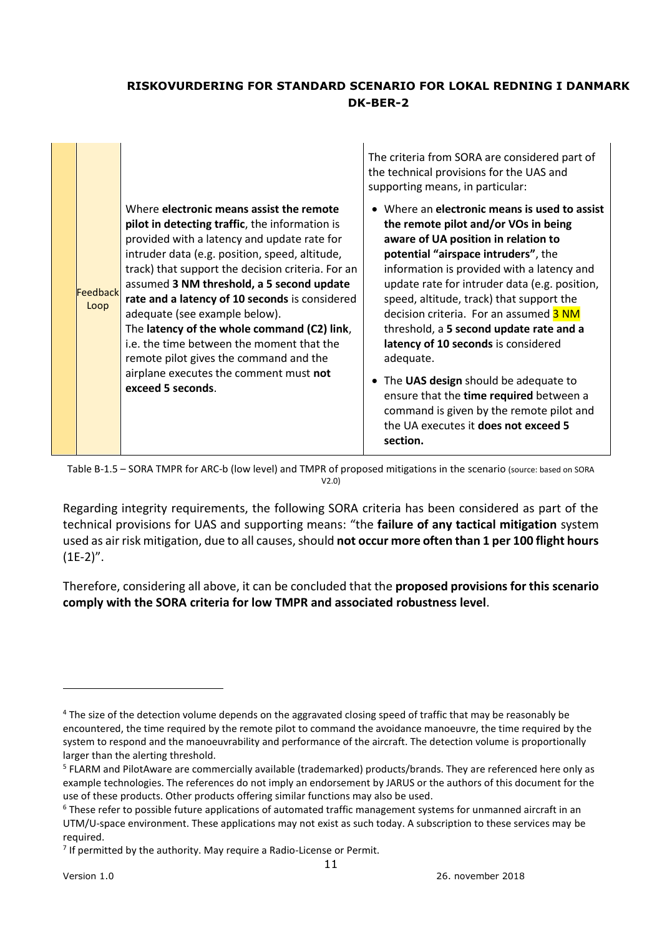|                  |                                                                                                                                                                                                                                                                                                                                                                                                                                                                                                                                                                                       | The criteria from SORA are considered part of<br>the technical provisions for the UAS and<br>supporting means, in particular:                                                                                                                                                                                                                                                                                                                                                                                                                                                                                                              |
|------------------|---------------------------------------------------------------------------------------------------------------------------------------------------------------------------------------------------------------------------------------------------------------------------------------------------------------------------------------------------------------------------------------------------------------------------------------------------------------------------------------------------------------------------------------------------------------------------------------|--------------------------------------------------------------------------------------------------------------------------------------------------------------------------------------------------------------------------------------------------------------------------------------------------------------------------------------------------------------------------------------------------------------------------------------------------------------------------------------------------------------------------------------------------------------------------------------------------------------------------------------------|
| Feedback<br>Loop | Where electronic means assist the remote<br>pilot in detecting traffic, the information is<br>provided with a latency and update rate for<br>intruder data (e.g. position, speed, altitude,<br>track) that support the decision criteria. For an<br>assumed 3 NM threshold, a 5 second update<br>rate and a latency of 10 seconds is considered<br>adequate (see example below).<br>The latency of the whole command (C2) link,<br>i.e. the time between the moment that the<br>remote pilot gives the command and the<br>airplane executes the comment must not<br>exceed 5 seconds. | • Where an electronic means is used to assist<br>the remote pilot and/or VOs in being<br>aware of UA position in relation to<br>potential "airspace intruders", the<br>information is provided with a latency and<br>update rate for intruder data (e.g. position,<br>speed, altitude, track) that support the<br>decision criteria. For an assumed 3 NM<br>threshold, a 5 second update rate and a<br>latency of 10 seconds is considered<br>adequate.<br>The UAS design should be adequate to<br>ensure that the time required between a<br>command is given by the remote pilot and<br>the UA executes it does not exceed 5<br>section. |

Table B-1.5 – SORA TMPR for ARC-b (low level) and TMPR of proposed mitigations in the scenario (source: based on SORA V2.0)

Regarding integrity requirements, the following SORA criteria has been considered as part of the technical provisions for UAS and supporting means: "the **failure of any tactical mitigation** system used as air risk mitigation, due to all causes, should **not occur more often than 1 per 100 flight hours**  $(1E-2)''$ .

Therefore, considering all above, it can be concluded that the **proposed provisions for this scenario comply with the SORA criteria for low TMPR and associated robustness level**.

-

<sup>&</sup>lt;sup>4</sup> The size of the detection volume depends on the aggravated closing speed of traffic that may be reasonably be encountered, the time required by the remote pilot to command the avoidance manoeuvre, the time required by the system to respond and the manoeuvrability and performance of the aircraft. The detection volume is proportionally larger than the alerting threshold.

<sup>&</sup>lt;sup>5</sup> FLARM and PilotAware are commercially available (trademarked) products/brands. They are referenced here only as example technologies. The references do not imply an endorsement by JARUS or the authors of this document for the use of these products. Other products offering similar functions may also be used.

 $6$  These refer to possible future applications of automated traffic management systems for unmanned aircraft in an UTM/U-space environment. These applications may not exist as such today. A subscription to these services may be required.

 $<sup>7</sup>$  If permitted by the authority. May require a Radio-License or Permit.</sup>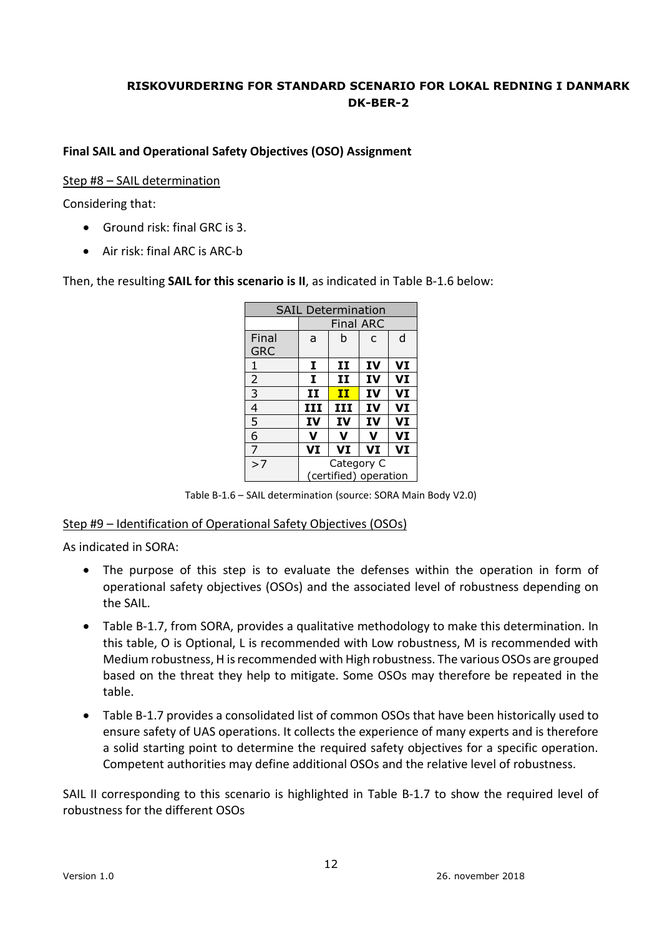### **Final SAIL and Operational Safety Objectives (OSO) Assignment**

#### Step #8 – SAIL determination

Considering that:

- Ground risk: final GRC is 3.
- Air risk: final ARC is ARC-b

Then, the resulting **SAIL for this scenario is II**, as indicated in Table B-1.6 below:

| <b>SAIL Determination</b> |            |                        |    |    |  |  |
|---------------------------|------------|------------------------|----|----|--|--|
|                           |            | <b>Final ARC</b>       |    |    |  |  |
| Final                     | a          | h<br>d<br>$\mathsf{C}$ |    |    |  |  |
| <b>GRC</b>                |            |                        |    |    |  |  |
| 1                         | 1          | $\mathbf{H}$           | IV | VI |  |  |
| $\overline{2}$            | I          | $\mathbf{H}$           | IV | VI |  |  |
| $\overline{3}$            | 11         | $\mathbf{H}$           | IV | VI |  |  |
| 4                         | III        | III                    | IV | VI |  |  |
| 5                         | IV         | IV                     | IV | VI |  |  |
| 6                         | v          | v                      | v  | VI |  |  |
| $\overline{7}$            | VI         | VI                     | VI | VI |  |  |
| >7                        | Category C |                        |    |    |  |  |
|                           |            | (certified) operation  |    |    |  |  |

Table B-1.6 – SAIL determination (source: SORA Main Body V2.0)

### Step #9 – Identification of Operational Safety Objectives (OSOs)

As indicated in SORA:

- The purpose of this step is to evaluate the defenses within the operation in form of operational safety objectives (OSOs) and the associated level of robustness depending on the SAIL.
- Table B-1.7, from SORA, provides a qualitative methodology to make this determination. In this table, O is Optional, L is recommended with Low robustness, M is recommended with Medium robustness, H is recommended with High robustness. The various OSOs are grouped based on the threat they help to mitigate. Some OSOs may therefore be repeated in the table.
- Table B-1.7 provides a consolidated list of common OSOs that have been historically used to ensure safety of UAS operations. It collects the experience of many experts and is therefore a solid starting point to determine the required safety objectives for a specific operation. Competent authorities may define additional OSOs and the relative level of robustness.

SAIL II corresponding to this scenario is highlighted in Table B-1.7 to show the required level of robustness for the different OSOs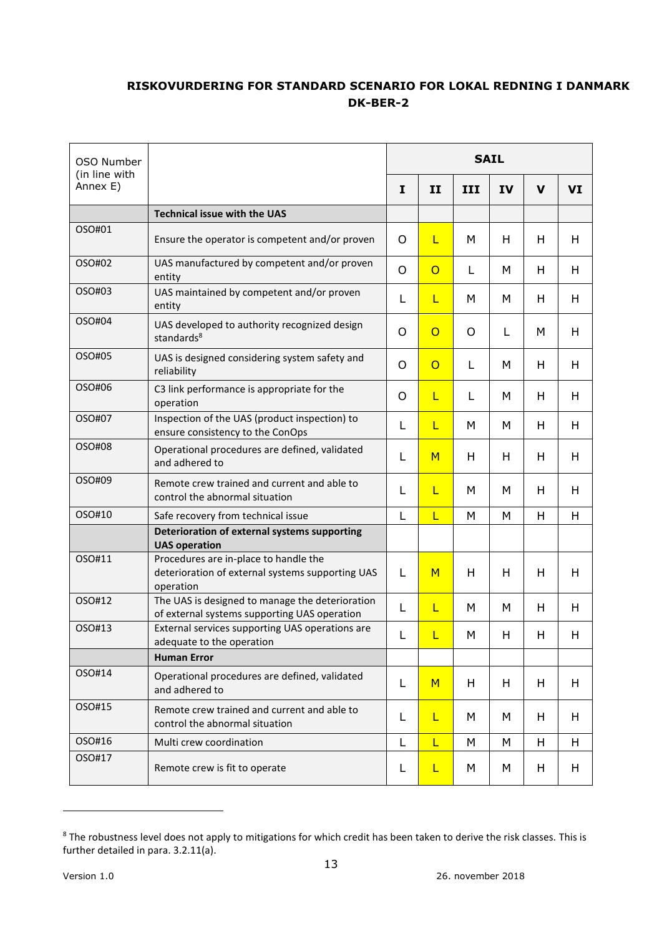| OSO Number                |                                                                                                        | <b>SAIL</b> |                |     |    |             |    |
|---------------------------|--------------------------------------------------------------------------------------------------------|-------------|----------------|-----|----|-------------|----|
| (in line with<br>Annex E) |                                                                                                        | I           | $\mathbf{I}$   | III | IV | $\mathbf v$ | VI |
|                           | <b>Technical issue with the UAS</b>                                                                    |             |                |     |    |             |    |
| OSO#01                    | Ensure the operator is competent and/or proven                                                         | O           | L              | M   | H  | H           | Н  |
| OSO#02                    | UAS manufactured by competent and/or proven<br>entity                                                  | O           | $\circ$        | L   | M  | H           | Н  |
| OSO#03                    | UAS maintained by competent and/or proven<br>entity                                                    | L           | L              | M   | М  | H           | н  |
| OSO#04                    | UAS developed to authority recognized design<br>standards <sup>8</sup>                                 | O           | $\overline{O}$ | O   | L  | M           | Н  |
| OSO#05                    | UAS is designed considering system safety and<br>reliability                                           | O           | $\overline{O}$ | L   | М  | H           | н  |
| OSO#06                    | C3 link performance is appropriate for the<br>operation                                                | O           | L              | L   | M  | H           | H  |
| OSO#07                    | Inspection of the UAS (product inspection) to<br>ensure consistency to the ConOps                      | L           | L              | M   | м  | H           | н  |
| OSO#08                    | Operational procedures are defined, validated<br>and adhered to                                        | L           | M              | H   | H  | H           | Н  |
| OSO#09                    | Remote crew trained and current and able to<br>control the abnormal situation                          | L           | L              | М   | M  | H           | н  |
| OSO#10                    | Safe recovery from technical issue                                                                     | L           | Ĺ              | M   | M  | H           | Н  |
|                           | Deterioration of external systems supporting<br><b>UAS operation</b>                                   |             |                |     |    |             |    |
| OSO#11                    | Procedures are in-place to handle the<br>deterioration of external systems supporting UAS<br>operation | L           | M              | H   | H  | H           | Н  |
| OSO#12                    | The UAS is designed to manage the deterioration<br>of external systems supporting UAS operation        | L           | L              | M   | M  | H           | Н  |
| OSO#13                    | External services supporting UAS operations are<br>adequate to the operation                           | L           | L              | M   | H  | H           | н  |
|                           | <b>Human Error</b>                                                                                     |             |                |     |    |             |    |
| OSO#14                    | Operational procedures are defined, validated<br>and adhered to                                        | L           | M              | H   | H  | H           | H  |
| OSO#15                    | Remote crew trained and current and able to<br>control the abnormal situation                          | L           | L              | М   | M  | H           | н  |
| OSO#16                    | Multi crew coordination                                                                                | L           | L              | M   | M  | H           | Н  |
| OSO#17                    | Remote crew is fit to operate                                                                          | L           | L              | М   | M  | H           | Н  |

<sup>&</sup>lt;sup>8</sup> The robustness level does not apply to mitigations for which credit has been taken to derive the risk classes. This is further detailed in para. 3.2.11(a).

-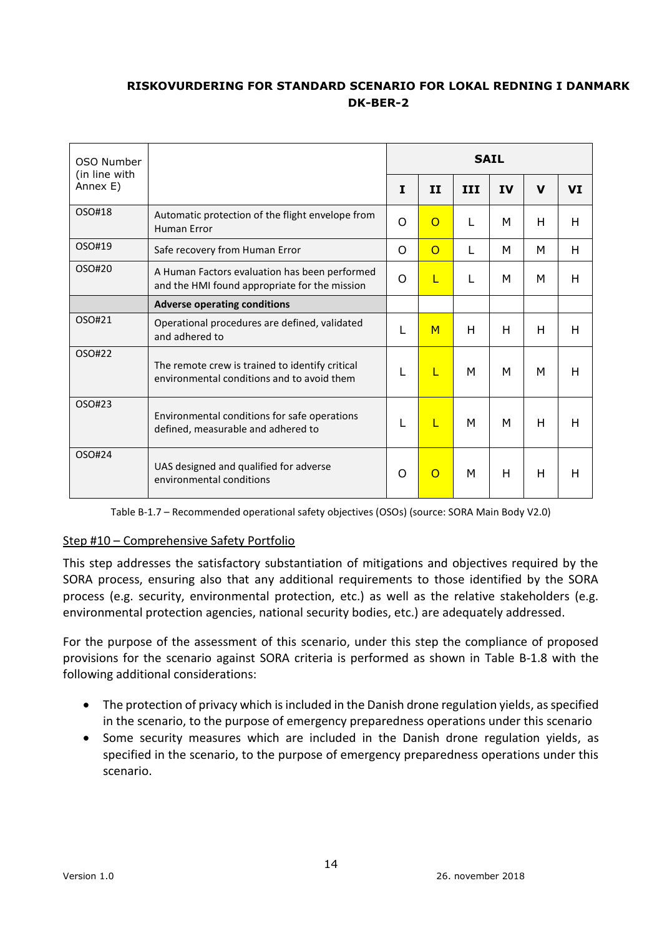| OSO Number                |                                                                                                | <b>SAIL</b> |          |            |           |             |           |  |
|---------------------------|------------------------------------------------------------------------------------------------|-------------|----------|------------|-----------|-------------|-----------|--|
| (in line with<br>Annex E) |                                                                                                | I           | II       | <b>III</b> | <b>IV</b> | $\mathbf v$ | <b>VI</b> |  |
| OSO#18                    | Automatic protection of the flight envelope from<br><b>Human Error</b>                         | O           | $\Omega$ | L          | м         | H           | н         |  |
| OSO#19                    | Safe recovery from Human Error                                                                 | O           | $\Omega$ | L          | м         | м           | н         |  |
| OSO#20                    | A Human Factors evaluation has been performed<br>and the HMI found appropriate for the mission | O           | L        | L          | м         | М           | н         |  |
|                           | <b>Adverse operating conditions</b>                                                            |             |          |            |           |             |           |  |
| OSO#21                    | Operational procedures are defined, validated<br>and adhered to                                | L           | M        | н          | н         | H           | н         |  |
| OSO#22                    | The remote crew is trained to identify critical<br>environmental conditions and to avoid them  | L           | L        | м          | м         | м           | н         |  |
| OSO#23                    | Environmental conditions for safe operations<br>defined, measurable and adhered to             | L           | L        | м          | M         | H           | н         |  |
| OSO#24                    | UAS designed and qualified for adverse<br>environmental conditions                             | O           | $\Omega$ | M          | н         | н           | н         |  |

Table B-1.7 – Recommended operational safety objectives (OSOs) (source: SORA Main Body V2.0)

## Step #10 – Comprehensive Safety Portfolio

This step addresses the satisfactory substantiation of mitigations and objectives required by the SORA process, ensuring also that any additional requirements to those identified by the SORA process (e.g. security, environmental protection, etc.) as well as the relative stakeholders (e.g. environmental protection agencies, national security bodies, etc.) are adequately addressed.

For the purpose of the assessment of this scenario, under this step the compliance of proposed provisions for the scenario against SORA criteria is performed as shown in Table B-1.8 with the following additional considerations:

- The protection of privacy which is included in the Danish drone regulation yields, as specified in the scenario, to the purpose of emergency preparedness operations under this scenario
- Some security measures which are included in the Danish drone regulation yields, as specified in the scenario, to the purpose of emergency preparedness operations under this scenario.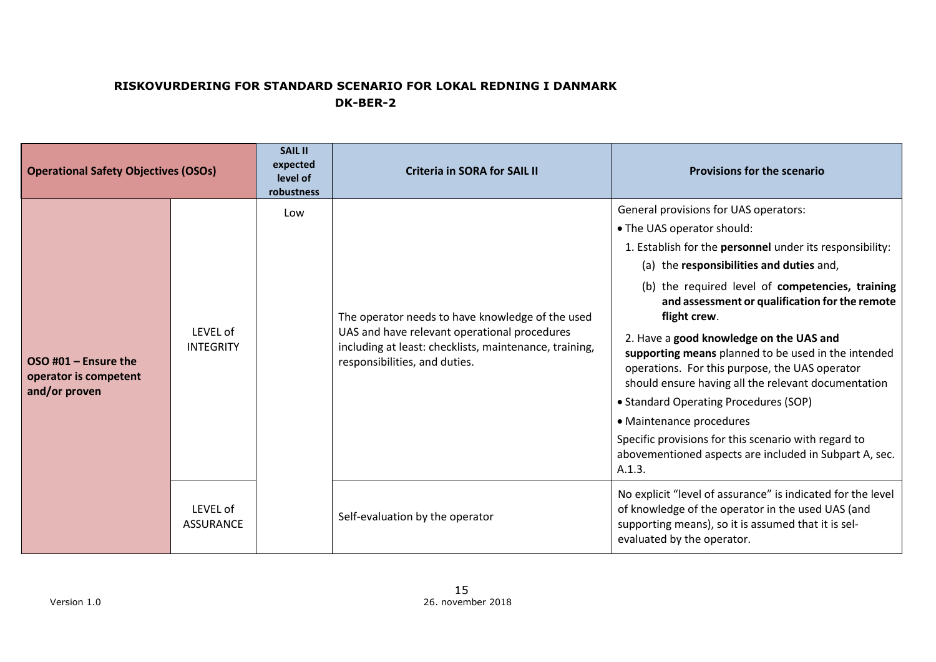| <b>Operational Safety Objectives (OSOs)</b>                      |                              | <b>SAIL II</b><br>expected<br>level of<br>robustness | <b>Criteria in SORA for SAIL II</b>                                                                                                                                                         | <b>Provisions for the scenario</b>                                                                                                                                                                                                                                                                                                                                                                                                                                                                                                                                                                                                                                                                            |
|------------------------------------------------------------------|------------------------------|------------------------------------------------------|---------------------------------------------------------------------------------------------------------------------------------------------------------------------------------------------|---------------------------------------------------------------------------------------------------------------------------------------------------------------------------------------------------------------------------------------------------------------------------------------------------------------------------------------------------------------------------------------------------------------------------------------------------------------------------------------------------------------------------------------------------------------------------------------------------------------------------------------------------------------------------------------------------------------|
| $OSO$ #01 – Ensure the<br>operator is competent<br>and/or proven | LEVEL of<br><b>INTEGRITY</b> | Low                                                  | The operator needs to have knowledge of the used<br>UAS and have relevant operational procedures<br>including at least: checklists, maintenance, training,<br>responsibilities, and duties. | General provisions for UAS operators:<br>• The UAS operator should:<br>1. Establish for the personnel under its responsibility:<br>(a) the responsibilities and duties and,<br>(b) the required level of competencies, training<br>and assessment or qualification for the remote<br>flight crew.<br>2. Have a good knowledge on the UAS and<br>supporting means planned to be used in the intended<br>operations. For this purpose, the UAS operator<br>should ensure having all the relevant documentation<br>• Standard Operating Procedures (SOP)<br>• Maintenance procedures<br>Specific provisions for this scenario with regard to<br>abovementioned aspects are included in Subpart A, sec.<br>A.1.3. |
|                                                                  | LEVEL of<br><b>ASSURANCE</b> |                                                      | Self-evaluation by the operator                                                                                                                                                             | No explicit "level of assurance" is indicated for the level<br>of knowledge of the operator in the used UAS (and<br>supporting means), so it is assumed that it is sel-<br>evaluated by the operator.                                                                                                                                                                                                                                                                                                                                                                                                                                                                                                         |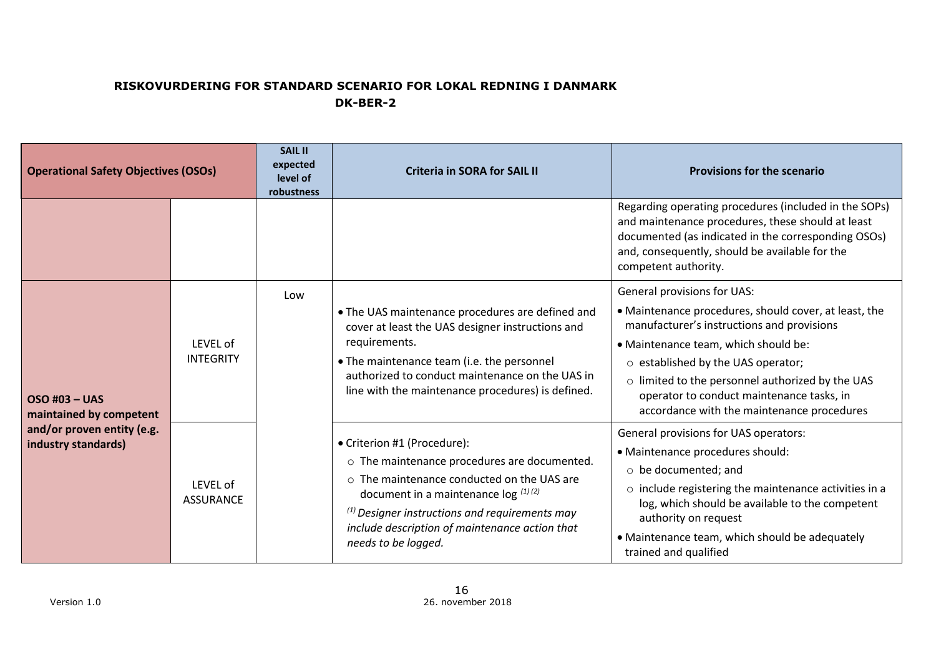| <b>Operational Safety Objectives (OSOs)</b>                                                          |                                     | <b>SAIL II</b><br>expected<br>level of<br>robustness | <b>Criteria in SORA for SAIL II</b>                                                                                                                                                                                                                                                                  | <b>Provisions for the scenario</b>                                                                                                                                                                                                                                                                                                                                    |
|------------------------------------------------------------------------------------------------------|-------------------------------------|------------------------------------------------------|------------------------------------------------------------------------------------------------------------------------------------------------------------------------------------------------------------------------------------------------------------------------------------------------------|-----------------------------------------------------------------------------------------------------------------------------------------------------------------------------------------------------------------------------------------------------------------------------------------------------------------------------------------------------------------------|
|                                                                                                      |                                     |                                                      |                                                                                                                                                                                                                                                                                                      | Regarding operating procedures (included in the SOPs)<br>and maintenance procedures, these should at least<br>documented (as indicated in the corresponding OSOs)<br>and, consequently, should be available for the<br>competent authority.                                                                                                                           |
| <b>OSO #03 - UAS</b><br>maintained by competent<br>and/or proven entity (e.g.<br>industry standards) | Low<br>LEVEL of<br><b>INTEGRITY</b> |                                                      | . The UAS maintenance procedures are defined and<br>cover at least the UAS designer instructions and<br>requirements.<br>• The maintenance team (i.e. the personnel<br>authorized to conduct maintenance on the UAS in<br>line with the maintenance procedures) is defined.                          | General provisions for UAS:<br>· Maintenance procedures, should cover, at least, the<br>manufacturer's instructions and provisions<br>• Maintenance team, which should be:<br>$\circ$ established by the UAS operator;<br>o limited to the personnel authorized by the UAS<br>operator to conduct maintenance tasks, in<br>accordance with the maintenance procedures |
|                                                                                                      | LEVEL of<br><b>ASSURANCE</b>        |                                                      | • Criterion #1 (Procedure):<br>o The maintenance procedures are documented.<br>o The maintenance conducted on the UAS are<br>document in a maintenance $\log$ (1)(2)<br>$^{(1)}$ Designer instructions and requirements may<br>include description of maintenance action that<br>needs to be logged. | General provisions for UAS operators:<br>• Maintenance procedures should:<br>$\circ$ be documented; and<br>o include registering the maintenance activities in a<br>log, which should be available to the competent<br>authority on request<br>• Maintenance team, which should be adequately<br>trained and qualified                                                |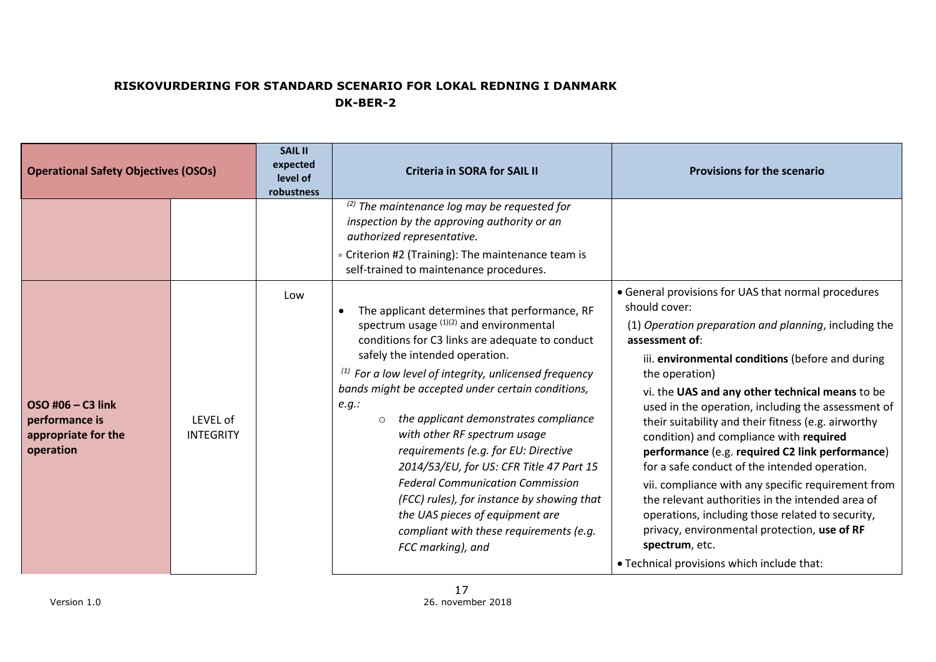| <b>Operational Safety Objectives (OSOs)</b>                             |                              | <b>SAIL II</b><br>expected<br>level of<br>robustness | <b>Criteria in SORA for SAIL II</b>                                                                                                                                                                                                                                                                                                                                                                                                                                                                                                                                                                                                                                                        | <b>Provisions for the scenario</b>                                                                                                                                                                                                                                                                                                                                                                                                                                                                                                                                                                                                                                                                                                                                                                                 |
|-------------------------------------------------------------------------|------------------------------|------------------------------------------------------|--------------------------------------------------------------------------------------------------------------------------------------------------------------------------------------------------------------------------------------------------------------------------------------------------------------------------------------------------------------------------------------------------------------------------------------------------------------------------------------------------------------------------------------------------------------------------------------------------------------------------------------------------------------------------------------------|--------------------------------------------------------------------------------------------------------------------------------------------------------------------------------------------------------------------------------------------------------------------------------------------------------------------------------------------------------------------------------------------------------------------------------------------------------------------------------------------------------------------------------------------------------------------------------------------------------------------------------------------------------------------------------------------------------------------------------------------------------------------------------------------------------------------|
|                                                                         |                              |                                                      | $(2)$ The maintenance log may be requested for<br>inspection by the approving authority or an<br>authorized representative.<br>• Criterion #2 (Training): The maintenance team is<br>self-trained to maintenance procedures.                                                                                                                                                                                                                                                                                                                                                                                                                                                               |                                                                                                                                                                                                                                                                                                                                                                                                                                                                                                                                                                                                                                                                                                                                                                                                                    |
| OSO #06 - C3 link<br>performance is<br>appropriate for the<br>operation | LEVEL of<br><b>INTEGRITY</b> | Low                                                  | The applicant determines that performance, RF<br>$\bullet$<br>spectrum usage $(1)(2)$ and environmental<br>conditions for C3 links are adequate to conduct<br>safely the intended operation.<br>$(1)$ For a low level of integrity, unlicensed frequency<br>bands might be accepted under certain conditions,<br>e.g.:<br>the applicant demonstrates compliance<br>$\circ$<br>with other RF spectrum usage<br>requirements (e.g. for EU: Directive<br>2014/53/EU, for US: CFR Title 47 Part 15<br><b>Federal Communication Commission</b><br>(FCC) rules), for instance by showing that<br>the UAS pieces of equipment are<br>compliant with these requirements (e.g.<br>FCC marking), and | • General provisions for UAS that normal procedures<br>should cover:<br>(1) Operation preparation and planning, including the<br>assessment of:<br>iii. environmental conditions (before and during<br>the operation)<br>vi. the UAS and any other technical means to be<br>used in the operation, including the assessment of<br>their suitability and their fitness (e.g. airworthy<br>condition) and compliance with required<br>performance (e.g. required C2 link performance)<br>for a safe conduct of the intended operation.<br>vii. compliance with any specific requirement from<br>the relevant authorities in the intended area of<br>operations, including those related to security,<br>privacy, environmental protection, use of RF<br>spectrum, etc.<br>• Technical provisions which include that: |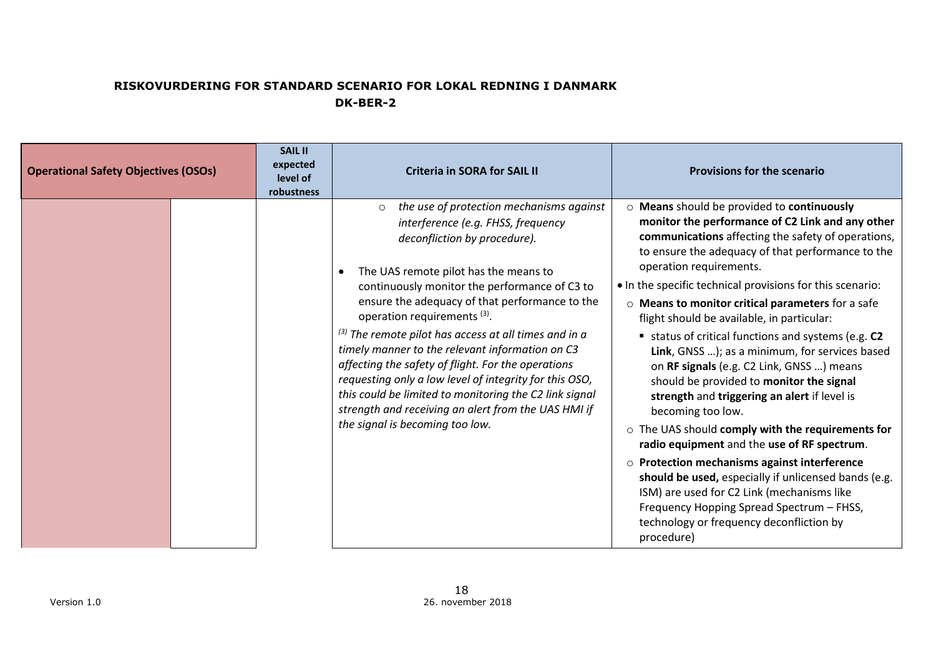| <b>Operational Safety Objectives (OSOs)</b> | <b>SAIL II</b><br>expected<br>level of<br>robustness | <b>Criteria in SORA for SAIL II</b>                                                                                                                                                                                                                                                                                                                                                                                                                                                                                                                                                                                                                                                                                | <b>Provisions for the scenario</b>                                                                                                                                                                                                                                                                                                                                                                                                                                                                                                                                                                                                                                                                                                                                                                                                                                                                                                                                                                                                               |
|---------------------------------------------|------------------------------------------------------|--------------------------------------------------------------------------------------------------------------------------------------------------------------------------------------------------------------------------------------------------------------------------------------------------------------------------------------------------------------------------------------------------------------------------------------------------------------------------------------------------------------------------------------------------------------------------------------------------------------------------------------------------------------------------------------------------------------------|--------------------------------------------------------------------------------------------------------------------------------------------------------------------------------------------------------------------------------------------------------------------------------------------------------------------------------------------------------------------------------------------------------------------------------------------------------------------------------------------------------------------------------------------------------------------------------------------------------------------------------------------------------------------------------------------------------------------------------------------------------------------------------------------------------------------------------------------------------------------------------------------------------------------------------------------------------------------------------------------------------------------------------------------------|
|                                             |                                                      | the use of protection mechanisms against<br>$\circ$<br>interference (e.g. FHSS, frequency<br>deconfliction by procedure).<br>The UAS remote pilot has the means to<br>$\bullet$<br>continuously monitor the performance of C3 to<br>ensure the adequacy of that performance to the<br>operation requirements <sup>(3)</sup> .<br>$^{(3)}$ The remote pilot has access at all times and in a<br>timely manner to the relevant information on C3<br>affecting the safety of flight. For the operations<br>requesting only a low level of integrity for this OSO,<br>this could be limited to monitoring the C2 link signal<br>strength and receiving an alert from the UAS HMI if<br>the signal is becoming too low. | ○ Means should be provided to continuously<br>monitor the performance of C2 Link and any other<br>communications affecting the safety of operations,<br>to ensure the adequacy of that performance to the<br>operation requirements.<br>• In the specific technical provisions for this scenario:<br>o Means to monitor critical parameters for a safe<br>flight should be available, in particular:<br>status of critical functions and systems (e.g. C2<br>Link, GNSS ); as a minimum, for services based<br>on RF signals (e.g. C2 Link, GNSS ) means<br>should be provided to monitor the signal<br>strength and triggering an alert if level is<br>becoming too low.<br>o The UAS should comply with the requirements for<br>radio equipment and the use of RF spectrum.<br>$\circ$ Protection mechanisms against interference<br>should be used, especially if unlicensed bands (e.g.<br>ISM) are used for C2 Link (mechanisms like<br>Frequency Hopping Spread Spectrum - FHSS,<br>technology or frequency deconfliction by<br>procedure) |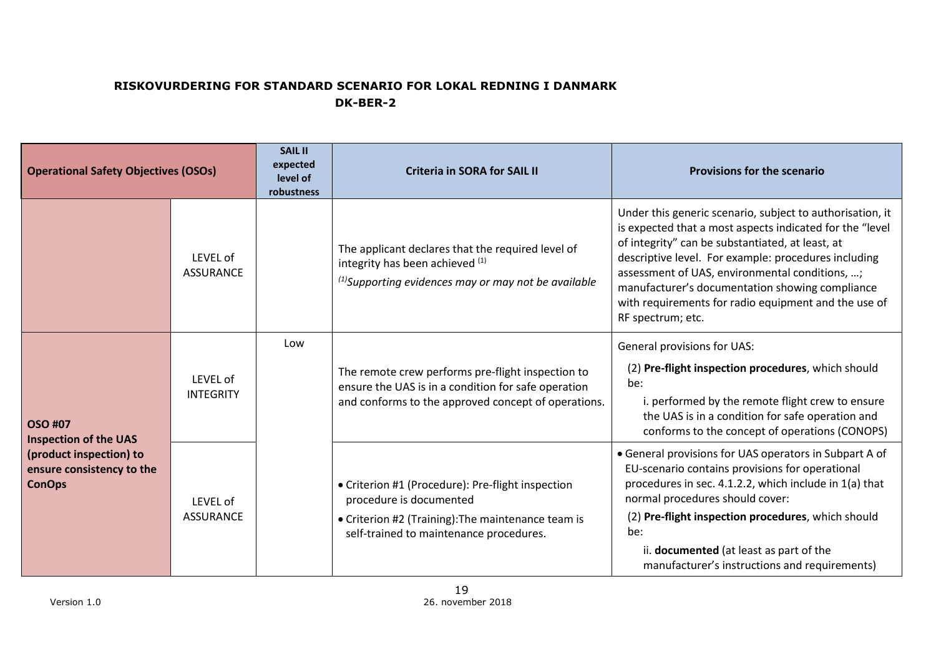| <b>Operational Safety Objectives (OSOs)</b>                                                                             |                              | <b>SAIL II</b><br>expected<br>level of<br>robustness | <b>Criteria in SORA for SAIL II</b>                                                                                                                                           | <b>Provisions for the scenario</b>                                                                                                                                                                                                                                                                                                                                                                                  |
|-------------------------------------------------------------------------------------------------------------------------|------------------------------|------------------------------------------------------|-------------------------------------------------------------------------------------------------------------------------------------------------------------------------------|---------------------------------------------------------------------------------------------------------------------------------------------------------------------------------------------------------------------------------------------------------------------------------------------------------------------------------------------------------------------------------------------------------------------|
|                                                                                                                         | LEVEL of<br><b>ASSURANCE</b> |                                                      | The applicant declares that the required level of<br>integrity has been achieved (1)<br>$^{(1)}$ Supporting evidences may or may not be available                             | Under this generic scenario, subject to authorisation, it<br>is expected that a most aspects indicated for the "level<br>of integrity" can be substantiated, at least, at<br>descriptive level. For example: procedures including<br>assessment of UAS, environmental conditions, ;<br>manufacturer's documentation showing compliance<br>with requirements for radio equipment and the use of<br>RF spectrum; etc. |
| <b>OSO #07</b><br><b>Inspection of the UAS</b><br>(product inspection) to<br>ensure consistency to the<br><b>ConOps</b> | LEVEL of<br><b>INTEGRITY</b> | Low                                                  | The remote crew performs pre-flight inspection to<br>ensure the UAS is in a condition for safe operation<br>and conforms to the approved concept of operations.               | General provisions for UAS:<br>(2) Pre-flight inspection procedures, which should<br>be:<br>i. performed by the remote flight crew to ensure<br>the UAS is in a condition for safe operation and<br>conforms to the concept of operations (CONOPS)                                                                                                                                                                  |
|                                                                                                                         | LEVEL of<br><b>ASSURANCE</b> |                                                      | • Criterion #1 (Procedure): Pre-flight inspection<br>procedure is documented<br>• Criterion #2 (Training): The maintenance team is<br>self-trained to maintenance procedures. | • General provisions for UAS operators in Subpart A of<br>EU-scenario contains provisions for operational<br>procedures in sec. 4.1.2.2, which include in 1(a) that<br>normal procedures should cover:<br>(2) Pre-flight inspection procedures, which should<br>be:<br>ii. documented (at least as part of the<br>manufacturer's instructions and requirements)                                                     |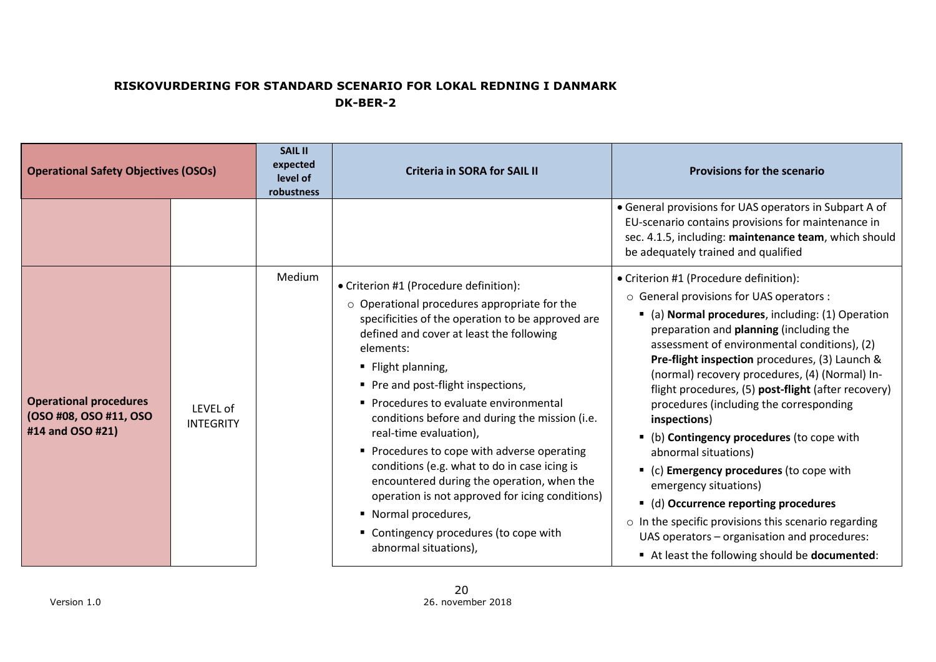| <b>Operational Safety Objectives (OSOs)</b>                                 |                              | <b>SAIL II</b><br>expected<br>level of<br>robustness | <b>Criteria in SORA for SAIL II</b>                                                                                                                                                                                                                                                                                                                                                                                                                                                                                                                                                                                                                                                   | <b>Provisions for the scenario</b>                                                                                                                                                                                                                                                                                                                                                                                                                                                                                                                                                                                                                                                                                                                                                                         |
|-----------------------------------------------------------------------------|------------------------------|------------------------------------------------------|---------------------------------------------------------------------------------------------------------------------------------------------------------------------------------------------------------------------------------------------------------------------------------------------------------------------------------------------------------------------------------------------------------------------------------------------------------------------------------------------------------------------------------------------------------------------------------------------------------------------------------------------------------------------------------------|------------------------------------------------------------------------------------------------------------------------------------------------------------------------------------------------------------------------------------------------------------------------------------------------------------------------------------------------------------------------------------------------------------------------------------------------------------------------------------------------------------------------------------------------------------------------------------------------------------------------------------------------------------------------------------------------------------------------------------------------------------------------------------------------------------|
|                                                                             |                              |                                                      |                                                                                                                                                                                                                                                                                                                                                                                                                                                                                                                                                                                                                                                                                       | • General provisions for UAS operators in Subpart A of<br>EU-scenario contains provisions for maintenance in<br>sec. 4.1.5, including: maintenance team, which should<br>be adequately trained and qualified                                                                                                                                                                                                                                                                                                                                                                                                                                                                                                                                                                                               |
| <b>Operational procedures</b><br>(OSO #08, OSO #11, OSO<br>#14 and OSO #21) | LEVEL of<br><b>INTEGRITY</b> | Medium                                               | • Criterion #1 (Procedure definition):<br>$\circ$ Operational procedures appropriate for the<br>specificities of the operation to be approved are<br>defined and cover at least the following<br>elements:<br>■ Flight planning,<br>Pre and post-flight inspections,<br>• Procedures to evaluate environmental<br>conditions before and during the mission (i.e.<br>real-time evaluation),<br>• Procedures to cope with adverse operating<br>conditions (e.g. what to do in case icing is<br>encountered during the operation, when the<br>operation is not approved for icing conditions)<br>• Normal procedures,<br>" Contingency procedures (to cope with<br>abnormal situations), | • Criterion #1 (Procedure definition):<br>o General provisions for UAS operators :<br>• (a) Normal procedures, including: (1) Operation<br>preparation and planning (including the<br>assessment of environmental conditions), (2)<br>Pre-flight inspection procedures, (3) Launch &<br>(normal) recovery procedures, (4) (Normal) In-<br>flight procedures, (5) post-flight (after recovery)<br>procedures (including the corresponding<br>inspections)<br>• (b) Contingency procedures (to cope with<br>abnormal situations)<br>• (c) Emergency procedures (to cope with<br>emergency situations)<br>• (d) Occurrence reporting procedures<br>$\circ$ In the specific provisions this scenario regarding<br>UAS operators - organisation and procedures:<br>At least the following should be documented: |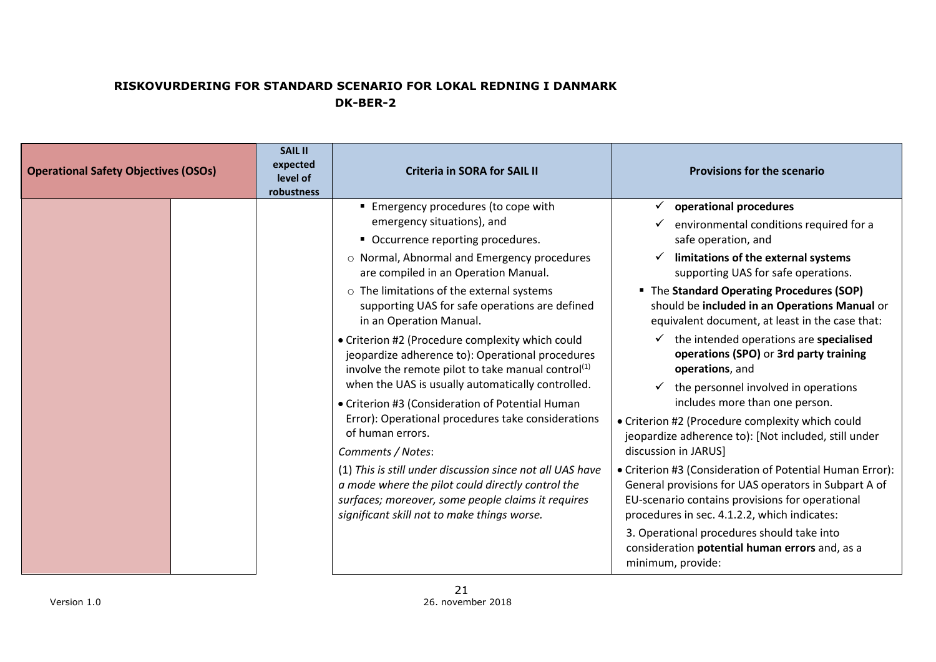| <b>Operational Safety Objectives (OSOs)</b> | <b>SAIL II</b><br>expected<br>level of<br>robustness | <b>Criteria in SORA for SAIL II</b>                                                                                                                                                                                                                                                                                                                                                                                                                                                                                                                                                                                                                                                                                                                                                                                                                                                                                                | <b>Provisions for the scenario</b>                                                                                                                                                                                                                                                                                                                                                                                                                                                                                                                                                                                                                                                                                                                                                                                                                                                                                                                                                                     |
|---------------------------------------------|------------------------------------------------------|------------------------------------------------------------------------------------------------------------------------------------------------------------------------------------------------------------------------------------------------------------------------------------------------------------------------------------------------------------------------------------------------------------------------------------------------------------------------------------------------------------------------------------------------------------------------------------------------------------------------------------------------------------------------------------------------------------------------------------------------------------------------------------------------------------------------------------------------------------------------------------------------------------------------------------|--------------------------------------------------------------------------------------------------------------------------------------------------------------------------------------------------------------------------------------------------------------------------------------------------------------------------------------------------------------------------------------------------------------------------------------------------------------------------------------------------------------------------------------------------------------------------------------------------------------------------------------------------------------------------------------------------------------------------------------------------------------------------------------------------------------------------------------------------------------------------------------------------------------------------------------------------------------------------------------------------------|
|                                             |                                                      | ■ Emergency procedures (to cope with<br>emergency situations), and<br>• Occurrence reporting procedures.<br>o Normal, Abnormal and Emergency procedures<br>are compiled in an Operation Manual.<br>o The limitations of the external systems<br>supporting UAS for safe operations are defined<br>in an Operation Manual.<br>• Criterion #2 (Procedure complexity which could<br>jeopardize adherence to): Operational procedures<br>involve the remote pilot to take manual control <sup>(1)</sup><br>when the UAS is usually automatically controlled.<br>• Criterion #3 (Consideration of Potential Human<br>Error): Operational procedures take considerations<br>of human errors.<br>Comments / Notes:<br>(1) This is still under discussion since not all UAS have<br>a mode where the pilot could directly control the<br>surfaces; moreover, some people claims it requires<br>significant skill not to make things worse. | $\checkmark$ operational procedures<br>environmental conditions required for a<br>safe operation, and<br>limitations of the external systems<br>supporting UAS for safe operations.<br>" The Standard Operating Procedures (SOP)<br>should be included in an Operations Manual or<br>equivalent document, at least in the case that:<br>the intended operations are specialised<br>operations (SPO) or 3rd party training<br>operations, and<br>the personnel involved in operations<br>includes more than one person.<br>• Criterion #2 (Procedure complexity which could<br>jeopardize adherence to): [Not included, still under<br>discussion in JARUS]<br>• Criterion #3 (Consideration of Potential Human Error):<br>General provisions for UAS operators in Subpart A of<br>EU-scenario contains provisions for operational<br>procedures in sec. 4.1.2.2, which indicates:<br>3. Operational procedures should take into<br>consideration potential human errors and, as a<br>minimum, provide: |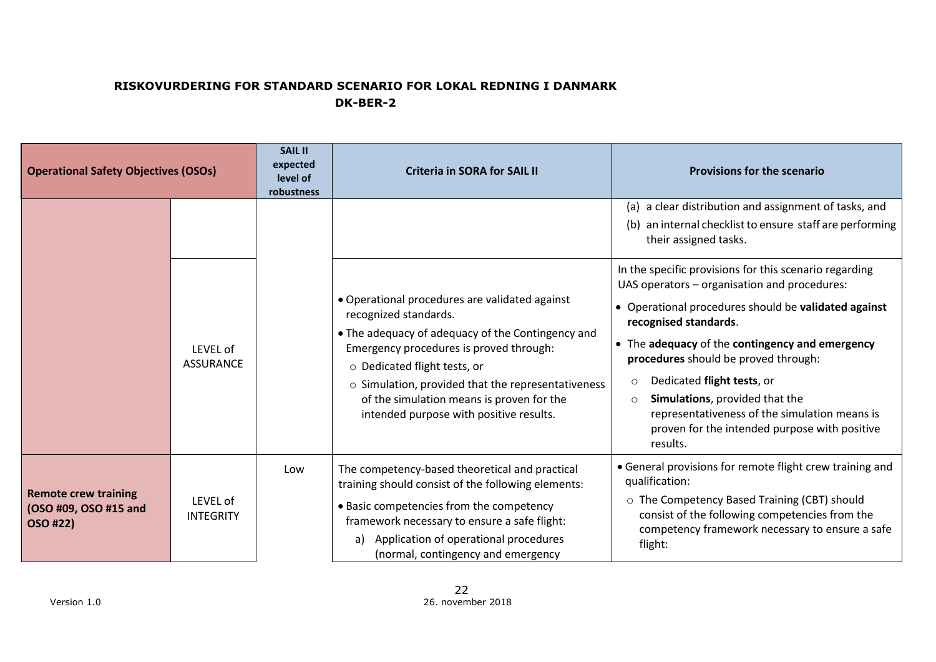| <b>Operational Safety Objectives (OSOs)</b>                      |                              | <b>SAIL II</b><br>expected<br>level of<br>robustness | <b>Criteria in SORA for SAIL II</b>                                                                                                                                                                                                                                                                                                                   | <b>Provisions for the scenario</b>                                                                                                                                                                                                                                                                                                                                                                                                                                                |
|------------------------------------------------------------------|------------------------------|------------------------------------------------------|-------------------------------------------------------------------------------------------------------------------------------------------------------------------------------------------------------------------------------------------------------------------------------------------------------------------------------------------------------|-----------------------------------------------------------------------------------------------------------------------------------------------------------------------------------------------------------------------------------------------------------------------------------------------------------------------------------------------------------------------------------------------------------------------------------------------------------------------------------|
|                                                                  |                              |                                                      |                                                                                                                                                                                                                                                                                                                                                       | (a) a clear distribution and assignment of tasks, and<br>(b) an internal checklist to ensure staff are performing<br>their assigned tasks.                                                                                                                                                                                                                                                                                                                                        |
|                                                                  | LEVEL of<br><b>ASSURANCE</b> |                                                      | • Operational procedures are validated against<br>recognized standards.<br>• The adequacy of adequacy of the Contingency and<br>Emergency procedures is proved through:<br>o Dedicated flight tests, or<br>○ Simulation, provided that the representativeness<br>of the simulation means is proven for the<br>intended purpose with positive results. | In the specific provisions for this scenario regarding<br>UAS operators - organisation and procedures:<br>• Operational procedures should be validated against<br>recognised standards.<br>• The adequacy of the contingency and emergency<br>procedures should be proved through:<br>Dedicated flight tests, or<br>O<br>Simulations, provided that the<br>$\Omega$<br>representativeness of the simulation means is<br>proven for the intended purpose with positive<br>results. |
| <b>Remote crew training</b><br>(OSO #09, OSO #15 and<br>OSO #22) | LEVEL of<br><b>INTEGRITY</b> | Low                                                  | The competency-based theoretical and practical<br>training should consist of the following elements:<br>• Basic competencies from the competency<br>framework necessary to ensure a safe flight:<br>Application of operational procedures<br>a)<br>(normal, contingency and emergency                                                                 | • General provisions for remote flight crew training and<br>qualification:<br>o The Competency Based Training (CBT) should<br>consist of the following competencies from the<br>competency framework necessary to ensure a safe<br>flight:                                                                                                                                                                                                                                        |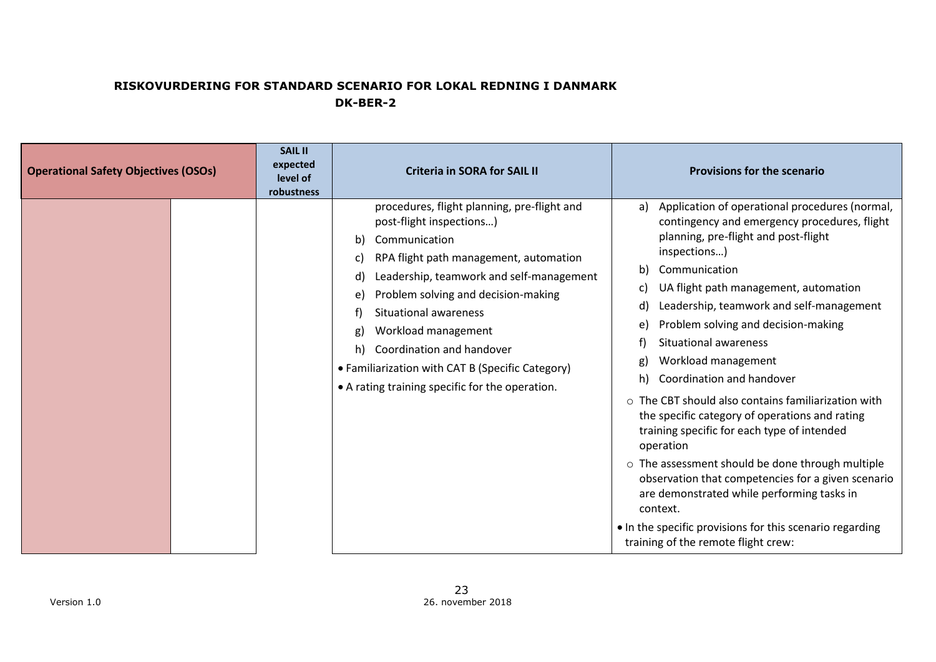| <b>Operational Safety Objectives (OSOs)</b> | <b>SAIL II</b><br>expected<br>level of<br>robustness | <b>Criteria in SORA for SAIL II</b>                                                                                                                                                                                                                                                                                                                                                                                                           | <b>Provisions for the scenario</b>                                                                                                                                                                                                                                                                                                                                                                                                                                                                                                                                                                                                                                                                                                                                                                                                                                                       |
|---------------------------------------------|------------------------------------------------------|-----------------------------------------------------------------------------------------------------------------------------------------------------------------------------------------------------------------------------------------------------------------------------------------------------------------------------------------------------------------------------------------------------------------------------------------------|------------------------------------------------------------------------------------------------------------------------------------------------------------------------------------------------------------------------------------------------------------------------------------------------------------------------------------------------------------------------------------------------------------------------------------------------------------------------------------------------------------------------------------------------------------------------------------------------------------------------------------------------------------------------------------------------------------------------------------------------------------------------------------------------------------------------------------------------------------------------------------------|
|                                             |                                                      | procedures, flight planning, pre-flight and<br>post-flight inspections)<br>Communication<br>b)<br>RPA flight path management, automation<br>C)<br>Leadership, teamwork and self-management<br>d)<br>Problem solving and decision-making<br>e)<br>Situational awareness<br>Workload management<br>g)<br>Coordination and handover<br>h)<br>• Familiarization with CAT B (Specific Category)<br>• A rating training specific for the operation. | Application of operational procedures (normal,<br>a)<br>contingency and emergency procedures, flight<br>planning, pre-flight and post-flight<br>inspections)<br>b)<br>Communication<br>UA flight path management, automation<br>C)<br>Leadership, teamwork and self-management<br>d)<br>Problem solving and decision-making<br>e)<br><b>Situational awareness</b><br>f<br>Workload management<br>g)<br>Coordination and handover<br>h)<br>$\circ$ The CBT should also contains familiarization with<br>the specific category of operations and rating<br>training specific for each type of intended<br>operation<br>o The assessment should be done through multiple<br>observation that competencies for a given scenario<br>are demonstrated while performing tasks in<br>context.<br>. In the specific provisions for this scenario regarding<br>training of the remote flight crew: |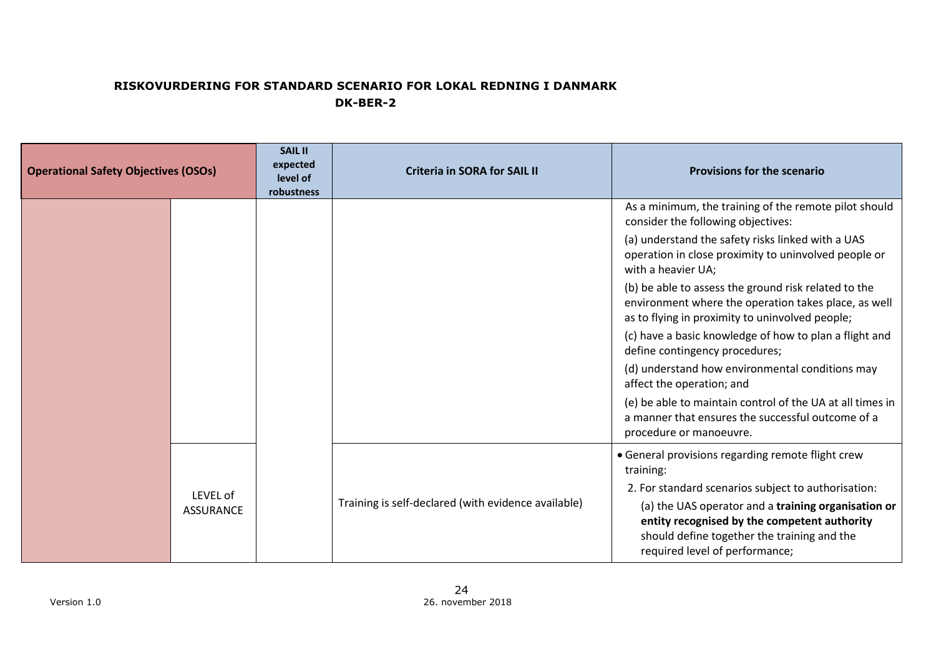| <b>Operational Safety Objectives (OSOs)</b> |                  | <b>SAIL II</b><br>expected<br>level of<br>robustness | <b>Criteria in SORA for SAIL II</b>                 | <b>Provisions for the scenario</b>                                                                                                                                                   |
|---------------------------------------------|------------------|------------------------------------------------------|-----------------------------------------------------|--------------------------------------------------------------------------------------------------------------------------------------------------------------------------------------|
|                                             |                  |                                                      |                                                     | As a minimum, the training of the remote pilot should<br>consider the following objectives:                                                                                          |
|                                             |                  |                                                      |                                                     | (a) understand the safety risks linked with a UAS<br>operation in close proximity to uninvolved people or<br>with a heavier UA;                                                      |
|                                             |                  |                                                      |                                                     | (b) be able to assess the ground risk related to the<br>environment where the operation takes place, as well<br>as to flying in proximity to uninvolved people;                      |
|                                             |                  |                                                      |                                                     | (c) have a basic knowledge of how to plan a flight and<br>define contingency procedures;                                                                                             |
|                                             |                  |                                                      |                                                     | (d) understand how environmental conditions may<br>affect the operation; and                                                                                                         |
|                                             |                  |                                                      |                                                     | (e) be able to maintain control of the UA at all times in<br>a manner that ensures the successful outcome of a<br>procedure or manoeuvre.                                            |
|                                             |                  |                                                      |                                                     | • General provisions regarding remote flight crew<br>training:                                                                                                                       |
|                                             | LEVEL of         |                                                      |                                                     | 2. For standard scenarios subject to authorisation:                                                                                                                                  |
|                                             | <b>ASSURANCE</b> |                                                      | Training is self-declared (with evidence available) | (a) the UAS operator and a training organisation or<br>entity recognised by the competent authority<br>should define together the training and the<br>required level of performance; |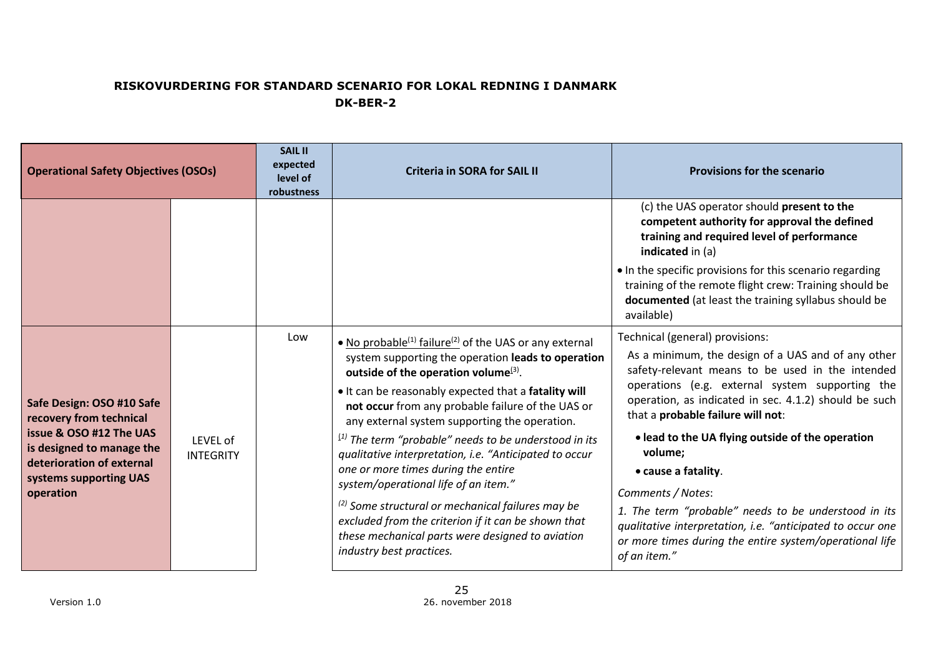| <b>Operational Safety Objectives (OSOs)</b>                                                                                                                                      |                                     | <b>SAIL II</b><br>expected<br>level of<br>robustness | <b>Criteria in SORA for SAIL II</b>                                                                                                                                                                                                                                                                                                                                                                                                                                                                                                                                                                                                                                                                                                                         | <b>Provisions for the scenario</b>                                                                                                                                                                                                                                                                                                                                                                                                                                                                                                                                                                     |
|----------------------------------------------------------------------------------------------------------------------------------------------------------------------------------|-------------------------------------|------------------------------------------------------|-------------------------------------------------------------------------------------------------------------------------------------------------------------------------------------------------------------------------------------------------------------------------------------------------------------------------------------------------------------------------------------------------------------------------------------------------------------------------------------------------------------------------------------------------------------------------------------------------------------------------------------------------------------------------------------------------------------------------------------------------------------|--------------------------------------------------------------------------------------------------------------------------------------------------------------------------------------------------------------------------------------------------------------------------------------------------------------------------------------------------------------------------------------------------------------------------------------------------------------------------------------------------------------------------------------------------------------------------------------------------------|
|                                                                                                                                                                                  |                                     |                                                      |                                                                                                                                                                                                                                                                                                                                                                                                                                                                                                                                                                                                                                                                                                                                                             | (c) the UAS operator should present to the<br>competent authority for approval the defined<br>training and required level of performance<br>indicated in (a)                                                                                                                                                                                                                                                                                                                                                                                                                                           |
|                                                                                                                                                                                  |                                     |                                                      |                                                                                                                                                                                                                                                                                                                                                                                                                                                                                                                                                                                                                                                                                                                                                             | • In the specific provisions for this scenario regarding<br>training of the remote flight crew: Training should be<br>documented (at least the training syllabus should be<br>available)                                                                                                                                                                                                                                                                                                                                                                                                               |
| Safe Design: OSO #10 Safe<br>recovery from technical<br>issue & OSO #12 The UAS<br>is designed to manage the<br>deterioration of external<br>systems supporting UAS<br>operation | <b>LEVEL of</b><br><b>INTEGRITY</b> | Low                                                  | • No probable <sup>(1)</sup> failure <sup>(2)</sup> of the UAS or any external<br>system supporting the operation leads to operation<br>outside of the operation volume $(3)$ .<br>. It can be reasonably expected that a fatality will<br>not occur from any probable failure of the UAS or<br>any external system supporting the operation.<br>$^{(1)}$ The term "probable" needs to be understood in its<br>qualitative interpretation, i.e. "Anticipated to occur<br>one or more times during the entire<br>system/operational life of an item."<br><sup>(2)</sup> Some structural or mechanical failures may be<br>excluded from the criterion if it can be shown that<br>these mechanical parts were designed to aviation<br>industry best practices. | Technical (general) provisions:<br>As a minimum, the design of a UAS and of any other<br>safety-relevant means to be used in the intended<br>operations (e.g. external system supporting the<br>operation, as indicated in sec. 4.1.2) should be such<br>that a probable failure will not:<br>• lead to the UA flying outside of the operation<br>volume;<br>• cause a fatality.<br>Comments / Notes:<br>1. The term "probable" needs to be understood in its<br>qualitative interpretation, i.e. "anticipated to occur one<br>or more times during the entire system/operational life<br>of an item." |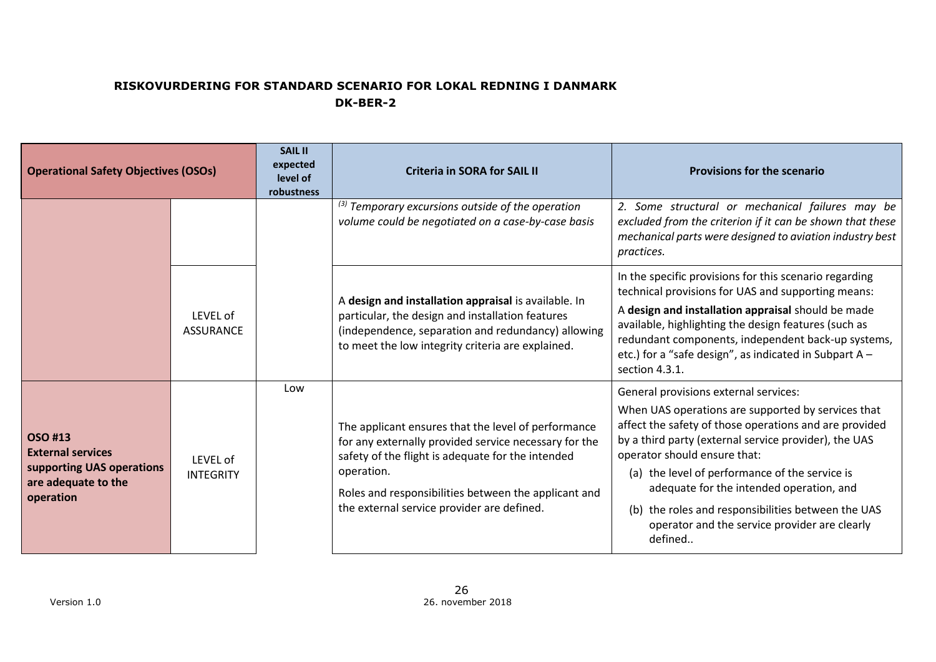| <b>Operational Safety Objectives (OSOs)</b>                                                          |                              | <b>SAIL II</b><br>expected<br>level of<br>robustness | <b>Criteria in SORA for SAIL II</b>                                                                                                                                                                                                                                                   | <b>Provisions for the scenario</b>                                                                                                                                                                                                                                                                                                                                                                                                                             |
|------------------------------------------------------------------------------------------------------|------------------------------|------------------------------------------------------|---------------------------------------------------------------------------------------------------------------------------------------------------------------------------------------------------------------------------------------------------------------------------------------|----------------------------------------------------------------------------------------------------------------------------------------------------------------------------------------------------------------------------------------------------------------------------------------------------------------------------------------------------------------------------------------------------------------------------------------------------------------|
|                                                                                                      |                              |                                                      | $^{(3)}$ Temporary excursions outside of the operation<br>volume could be negotiated on a case-by-case basis                                                                                                                                                                          | 2. Some structural or mechanical failures may be<br>excluded from the criterion if it can be shown that these<br>mechanical parts were designed to aviation industry best<br>practices.                                                                                                                                                                                                                                                                        |
|                                                                                                      | LFVFL of<br><b>ASSURANCE</b> |                                                      | A design and installation appraisal is available. In<br>particular, the design and installation features<br>(independence, separation and redundancy) allowing<br>to meet the low integrity criteria are explained.                                                                   | In the specific provisions for this scenario regarding<br>technical provisions for UAS and supporting means:<br>A design and installation appraisal should be made<br>available, highlighting the design features (such as<br>redundant components, independent back-up systems,<br>etc.) for a "safe design", as indicated in Subpart A -<br>section 4.3.1.                                                                                                   |
| OSO #13<br><b>External services</b><br>supporting UAS operations<br>are adequate to the<br>operation | LEVEL of<br><b>INTEGRITY</b> | Low                                                  | The applicant ensures that the level of performance<br>for any externally provided service necessary for the<br>safety of the flight is adequate for the intended<br>operation.<br>Roles and responsibilities between the applicant and<br>the external service provider are defined. | General provisions external services:<br>When UAS operations are supported by services that<br>affect the safety of those operations and are provided<br>by a third party (external service provider), the UAS<br>operator should ensure that:<br>(a) the level of performance of the service is<br>adequate for the intended operation, and<br>(b) the roles and responsibilities between the UAS<br>operator and the service provider are clearly<br>defined |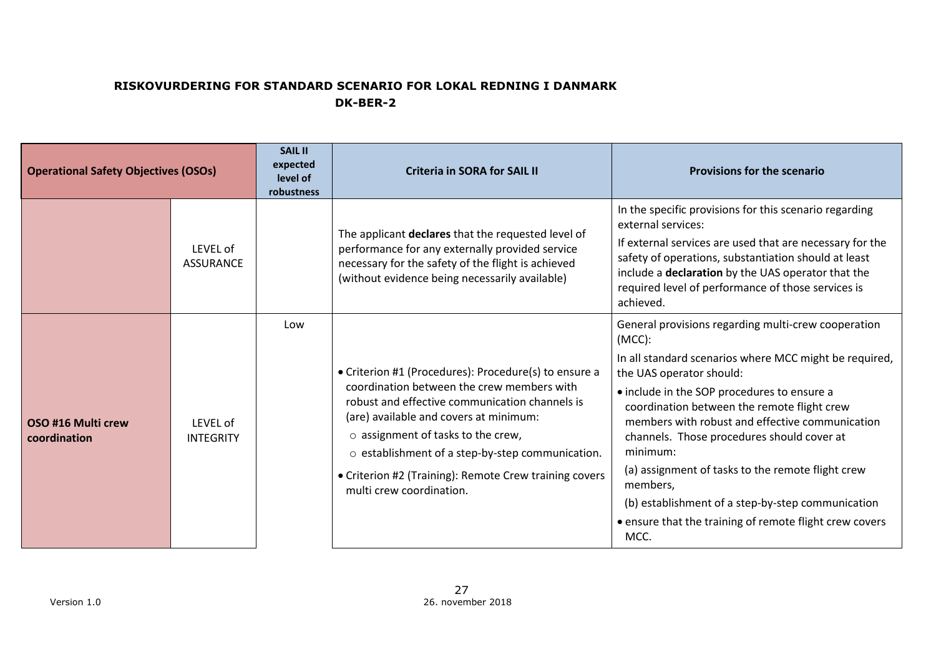| <b>Operational Safety Objectives (OSOs)</b> |                              | <b>SAIL II</b><br>expected<br>level of<br>robustness | <b>Criteria in SORA for SAIL II</b>                                                                                                                                                                                                                                                                                                                                                   | <b>Provisions for the scenario</b>                                                                                                                                                                                                                                                                                                                                                                                                                                                                                                                         |
|---------------------------------------------|------------------------------|------------------------------------------------------|---------------------------------------------------------------------------------------------------------------------------------------------------------------------------------------------------------------------------------------------------------------------------------------------------------------------------------------------------------------------------------------|------------------------------------------------------------------------------------------------------------------------------------------------------------------------------------------------------------------------------------------------------------------------------------------------------------------------------------------------------------------------------------------------------------------------------------------------------------------------------------------------------------------------------------------------------------|
|                                             | LEVEL of<br><b>ASSURANCE</b> |                                                      | The applicant declares that the requested level of<br>performance for any externally provided service<br>necessary for the safety of the flight is achieved<br>(without evidence being necessarily available)                                                                                                                                                                         | In the specific provisions for this scenario regarding<br>external services:<br>If external services are used that are necessary for the<br>safety of operations, substantiation should at least<br>include a declaration by the UAS operator that the<br>required level of performance of those services is<br>achieved.                                                                                                                                                                                                                                  |
| OSO #16 Multi crew<br>coordination          | LEVEL of<br><b>INTEGRITY</b> | Low                                                  | • Criterion #1 (Procedures): Procedure(s) to ensure a<br>coordination between the crew members with<br>robust and effective communication channels is<br>(are) available and covers at minimum:<br>$\circ$ assignment of tasks to the crew,<br>o establishment of a step-by-step communication.<br>• Criterion #2 (Training): Remote Crew training covers<br>multi crew coordination. | General provisions regarding multi-crew cooperation<br>$(MCC)$ :<br>In all standard scenarios where MCC might be required,<br>the UAS operator should:<br>• include in the SOP procedures to ensure a<br>coordination between the remote flight crew<br>members with robust and effective communication<br>channels. Those procedures should cover at<br>minimum:<br>(a) assignment of tasks to the remote flight crew<br>members,<br>(b) establishment of a step-by-step communication<br>• ensure that the training of remote flight crew covers<br>MCC. |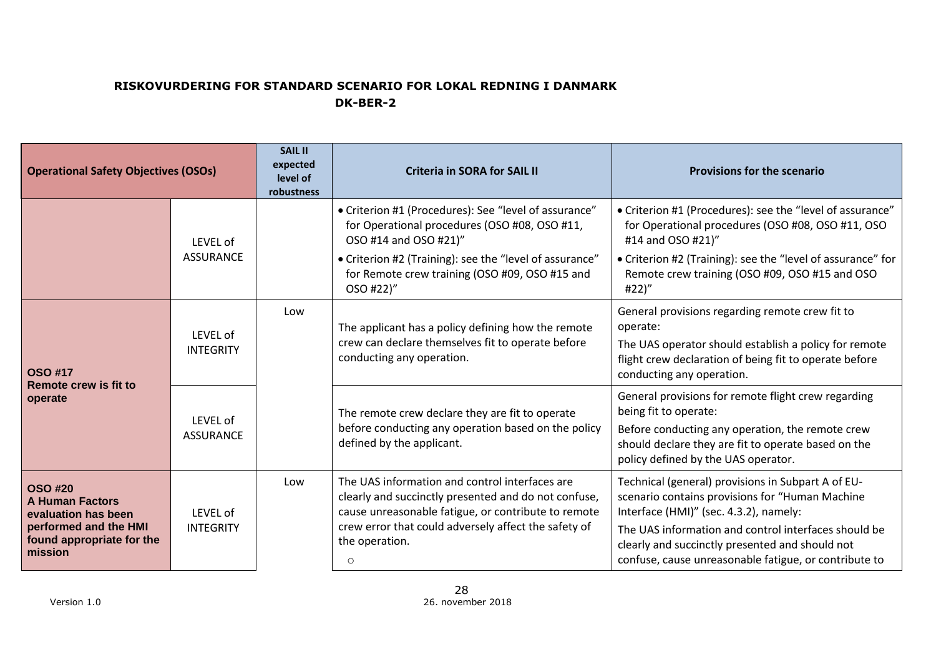| <b>Operational Safety Objectives (OSOs)</b>                                                                                      |                              | <b>SAIL II</b><br>expected<br>level of<br>robustness | <b>Criteria in SORA for SAIL II</b>                                                                                                                                                                                                                       | <b>Provisions for the scenario</b>                                                                                                                                                                                                                                                                                  |
|----------------------------------------------------------------------------------------------------------------------------------|------------------------------|------------------------------------------------------|-----------------------------------------------------------------------------------------------------------------------------------------------------------------------------------------------------------------------------------------------------------|---------------------------------------------------------------------------------------------------------------------------------------------------------------------------------------------------------------------------------------------------------------------------------------------------------------------|
|                                                                                                                                  | LEVEL of<br><b>ASSURANCE</b> |                                                      | • Criterion #1 (Procedures): See "level of assurance"<br>for Operational procedures (OSO #08, OSO #11,<br>OSO #14 and OSO #21)"<br>• Criterion #2 (Training): see the "level of assurance"<br>for Remote crew training (OSO #09, OSO #15 and<br>OSO #22)" | • Criterion #1 (Procedures): see the "level of assurance"<br>for Operational procedures (OSO #08, OSO #11, OSO<br>#14 and OSO #21)"<br>• Criterion #2 (Training): see the "level of assurance" for<br>Remote crew training (OSO #09, OSO #15 and OSO<br>#22)"                                                       |
| <b>OSO #17</b>                                                                                                                   | LEVEL of<br><b>INTEGRITY</b> | Low                                                  | The applicant has a policy defining how the remote<br>crew can declare themselves fit to operate before<br>conducting any operation.                                                                                                                      | General provisions regarding remote crew fit to<br>operate:<br>The UAS operator should establish a policy for remote<br>flight crew declaration of being fit to operate before<br>conducting any operation.                                                                                                         |
| Remote crew is fit to<br>operate                                                                                                 | LEVEL of<br><b>ASSURANCE</b> |                                                      | The remote crew declare they are fit to operate<br>before conducting any operation based on the policy<br>defined by the applicant.                                                                                                                       | General provisions for remote flight crew regarding<br>being fit to operate:<br>Before conducting any operation, the remote crew<br>should declare they are fit to operate based on the<br>policy defined by the UAS operator.                                                                                      |
| <b>OSO #20</b><br><b>A Human Factors</b><br>evaluation has been<br>performed and the HMI<br>found appropriate for the<br>mission | LEVEL of<br><b>INTEGRITY</b> | Low                                                  | The UAS information and control interfaces are<br>clearly and succinctly presented and do not confuse,<br>cause unreasonable fatigue, or contribute to remote<br>crew error that could adversely affect the safety of<br>the operation.<br>$\circ$        | Technical (general) provisions in Subpart A of EU-<br>scenario contains provisions for "Human Machine<br>Interface (HMI)" (sec. 4.3.2), namely:<br>The UAS information and control interfaces should be<br>clearly and succinctly presented and should not<br>confuse, cause unreasonable fatigue, or contribute to |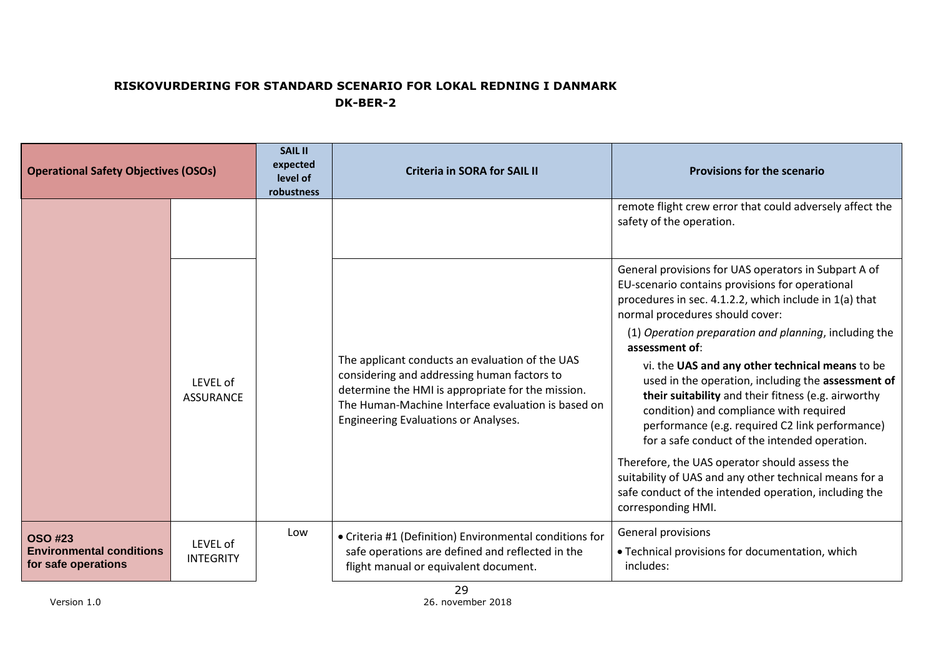| <b>Operational Safety Objectives (OSOs)</b>                              |                              | <b>SAIL II</b><br>expected<br>level of<br>robustness | <b>Criteria in SORA for SAIL II</b>                                                                                                                                                                                                               | <b>Provisions for the scenario</b>                                                                                                                                                                                                                                                                          |
|--------------------------------------------------------------------------|------------------------------|------------------------------------------------------|---------------------------------------------------------------------------------------------------------------------------------------------------------------------------------------------------------------------------------------------------|-------------------------------------------------------------------------------------------------------------------------------------------------------------------------------------------------------------------------------------------------------------------------------------------------------------|
|                                                                          |                              |                                                      |                                                                                                                                                                                                                                                   | remote flight crew error that could adversely affect the<br>safety of the operation.                                                                                                                                                                                                                        |
|                                                                          |                              |                                                      |                                                                                                                                                                                                                                                   | General provisions for UAS operators in Subpart A of<br>EU-scenario contains provisions for operational<br>procedures in sec. 4.1.2.2, which include in 1(a) that<br>normal procedures should cover:<br>(1) Operation preparation and planning, including the<br>assessment of:                             |
|                                                                          | LEVEL of<br><b>ASSURANCE</b> |                                                      | The applicant conducts an evaluation of the UAS<br>considering and addressing human factors to<br>determine the HMI is appropriate for the mission.<br>The Human-Machine Interface evaluation is based on<br>Engineering Evaluations or Analyses. | vi. the UAS and any other technical means to be<br>used in the operation, including the assessment of<br>their suitability and their fitness (e.g. airworthy<br>condition) and compliance with required<br>performance (e.g. required C2 link performance)<br>for a safe conduct of the intended operation. |
|                                                                          |                              |                                                      |                                                                                                                                                                                                                                                   | Therefore, the UAS operator should assess the<br>suitability of UAS and any other technical means for a<br>safe conduct of the intended operation, including the<br>corresponding HMI.                                                                                                                      |
| <b>OSO #23</b><br><b>Environmental conditions</b><br>for safe operations | LEVEL of<br><b>INTEGRITY</b> | Low                                                  | • Criteria #1 (Definition) Environmental conditions for<br>safe operations are defined and reflected in the<br>flight manual or equivalent document.                                                                                              | General provisions<br>• Technical provisions for documentation, which<br>includes:                                                                                                                                                                                                                          |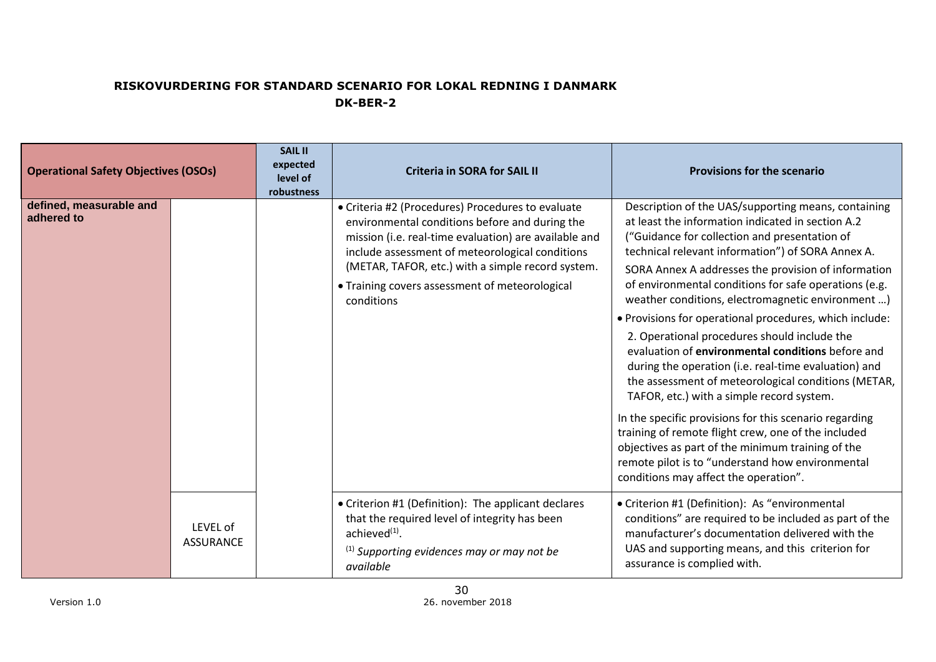| <b>Operational Safety Objectives (OSOs)</b> |                              | <b>SAIL II</b><br>expected<br>level of<br>robustness | <b>Criteria in SORA for SAIL II</b>                                                                                                                                                                                                                                                                                                  | <b>Provisions for the scenario</b>                                                                                                                                                                                                                                                                                                                                                                                                                                                                                                                                                                                                                                                                                                                                                                                                                                                                                                                                                 |
|---------------------------------------------|------------------------------|------------------------------------------------------|--------------------------------------------------------------------------------------------------------------------------------------------------------------------------------------------------------------------------------------------------------------------------------------------------------------------------------------|------------------------------------------------------------------------------------------------------------------------------------------------------------------------------------------------------------------------------------------------------------------------------------------------------------------------------------------------------------------------------------------------------------------------------------------------------------------------------------------------------------------------------------------------------------------------------------------------------------------------------------------------------------------------------------------------------------------------------------------------------------------------------------------------------------------------------------------------------------------------------------------------------------------------------------------------------------------------------------|
| defined, measurable and<br>adhered to       |                              |                                                      | • Criteria #2 (Procedures) Procedures to evaluate<br>environmental conditions before and during the<br>mission (i.e. real-time evaluation) are available and<br>include assessment of meteorological conditions<br>(METAR, TAFOR, etc.) with a simple record system.<br>• Training covers assessment of meteorological<br>conditions | Description of the UAS/supporting means, containing<br>at least the information indicated in section A.2<br>("Guidance for collection and presentation of<br>technical relevant information") of SORA Annex A.<br>SORA Annex A addresses the provision of information<br>of environmental conditions for safe operations (e.g.<br>weather conditions, electromagnetic environment )<br>. Provisions for operational procedures, which include:<br>2. Operational procedures should include the<br>evaluation of environmental conditions before and<br>during the operation (i.e. real-time evaluation) and<br>the assessment of meteorological conditions (METAR,<br>TAFOR, etc.) with a simple record system.<br>In the specific provisions for this scenario regarding<br>training of remote flight crew, one of the included<br>objectives as part of the minimum training of the<br>remote pilot is to "understand how environmental<br>conditions may affect the operation". |
|                                             | LEVEL of<br><b>ASSURANCE</b> |                                                      | • Criterion #1 (Definition): The applicant declares<br>that the required level of integrity has been<br>achieved $(1)$ .<br>$^{(1)}$ Supporting evidences may or may not be<br>available                                                                                                                                             | • Criterion #1 (Definition): As "environmental<br>conditions" are required to be included as part of the<br>manufacturer's documentation delivered with the<br>UAS and supporting means, and this criterion for<br>assurance is complied with.                                                                                                                                                                                                                                                                                                                                                                                                                                                                                                                                                                                                                                                                                                                                     |